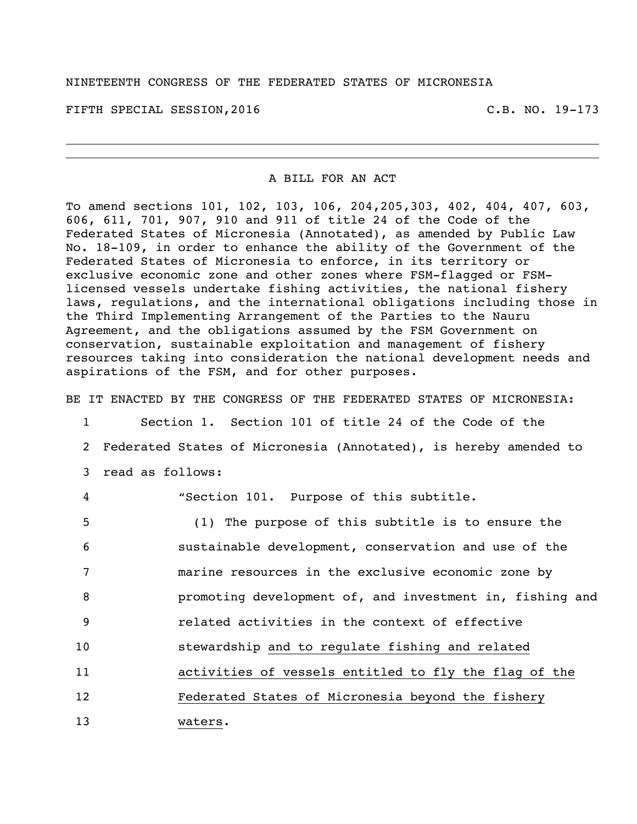FIFTH SPECIAL SESSION, 2016 C.B. NO. 19-173

#### A BILL FOR AN ACT

To amend sections 101, 102, 103, 106, 204,205,303, 402, 404, 407, 603, 606, 611, 701, 907, 910 and 911 of title 24 of the Code of the Federated States of Micronesia (Annotated), as amended by Public Law No. 18-109, in order to enhance the ability of the Government of the Federated States of Micronesia to enforce, in its territory or exclusive economic zone and other zones where FSM-flagged or FSMlicensed vessels undertake fishing activities, the national fishery laws, regulations, and the international obligations including those in the Third Implementing Arrangement of the Parties to the Nauru Agreement, and the obligations assumed by the FSM Government on conservation, sustainable exploitation and management of fishery resources taking into consideration the national development needs and aspirations of the FSM, and for other purposes.

BE IT ENACTED BY THE CONGRESS OF THE FEDERATED STATES OF MICRONESIA:

 Section 1. Section 101 of title 24 of the Code of the Federated States of Micronesia (Annotated), is hereby amended to read as follows: "Section 101. Purpose of this subtitle. (1) The purpose of this subtitle is to ensure the sustainable development, conservation and use of the marine resources in the exclusive economic zone by promoting development of, and investment in, fishing and related activities in the context of effective stewardship and to regulate fishing and related activities of vessels entitled to fly the flag of the Federated States of Micronesia beyond the fishery 13 waters.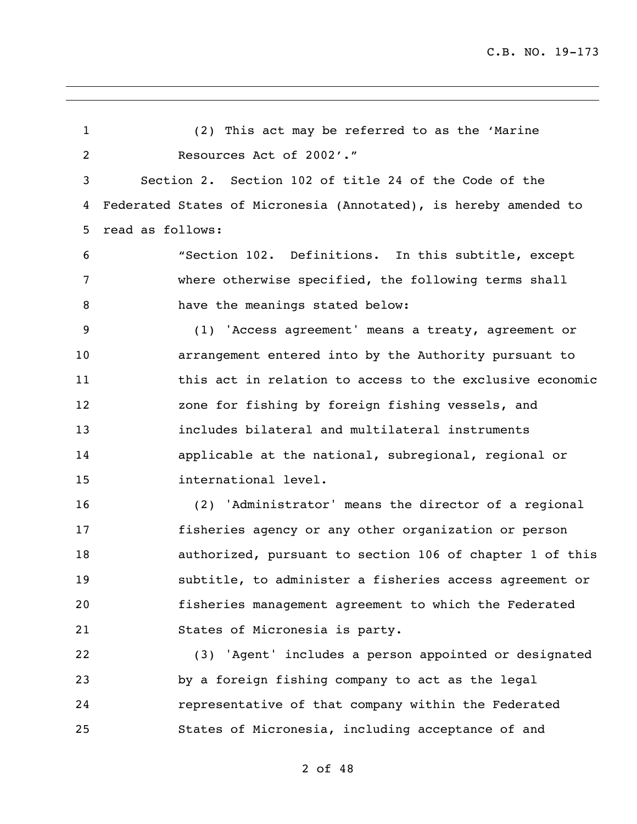(2) This act may be referred to as the 'Marine Resources Act of 2002'." Section 2. Section 102 of title 24 of the Code of the Federated States of Micronesia (Annotated), is hereby amended to read as follows: "Section 102. Definitions. In this subtitle, except where otherwise specified, the following terms shall 8 have the meanings stated below: (1) 'Access agreement' means a treaty, agreement or arrangement entered into by the Authority pursuant to 11 this act in relation to access to the exclusive economic zone for fishing by foreign fishing vessels, and includes bilateral and multilateral instruments applicable at the national, subregional, regional or international level. (2) 'Administrator' means the director of a regional fisheries agency or any other organization or person authorized, pursuant to section 106 of chapter 1 of this subtitle, to administer a fisheries access agreement or fisheries management agreement to which the Federated States of Micronesia is party. (3) 'Agent' includes a person appointed or designated by a foreign fishing company to act as the legal representative of that company within the Federated States of Micronesia, including acceptance of and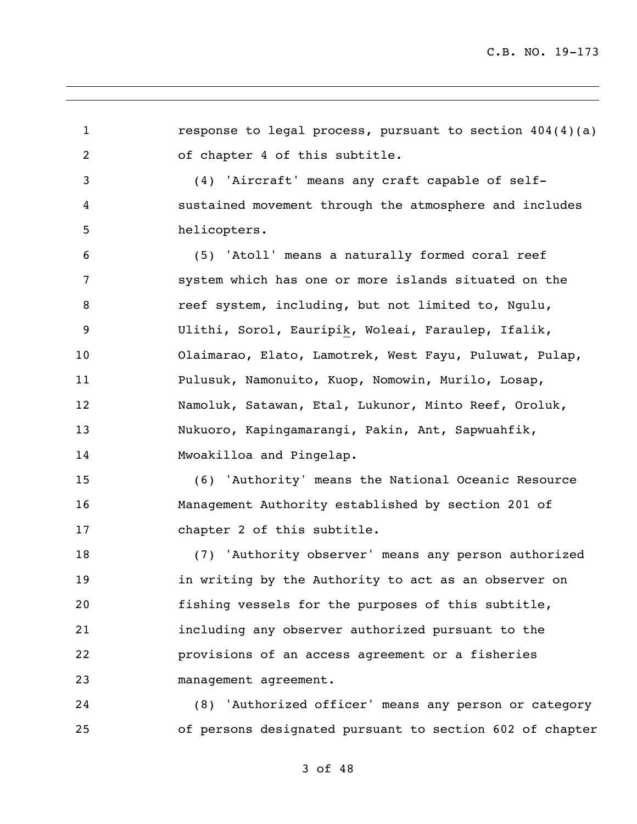response to legal process, pursuant to section 404(4)(a) of chapter 4 of this subtitle. (4) 'Aircraft' means any craft capable of self- sustained movement through the atmosphere and includes helicopters. (5) 'Atoll' means a naturally formed coral reef system which has one or more islands situated on the reef system, including, but not limited to, Ngulu, Ulithi, Sorol, Eauripik, Woleai, Faraulep, Ifalik, Olaimarao, Elato, Lamotrek, West Fayu, Puluwat, Pulap, Pulusuk, Namonuito, Kuop, Nomowin, Murilo, Losap, Namoluk, Satawan, Etal, Lukunor, Minto Reef, Oroluk, Nukuoro, Kapingamarangi, Pakin, Ant, Sapwuahfik, Mwoakilloa and Pingelap. (6) 'Authority' means the National Oceanic Resource Management Authority established by section 201 of 17 chapter 2 of this subtitle. (7) 'Authority observer' means any person authorized in writing by the Authority to act as an observer on fishing vessels for the purposes of this subtitle, including any observer authorized pursuant to the provisions of an access agreement or a fisheries management agreement. (8) 'Authorized officer' means any person or category of persons designated pursuant to section 602 of chapter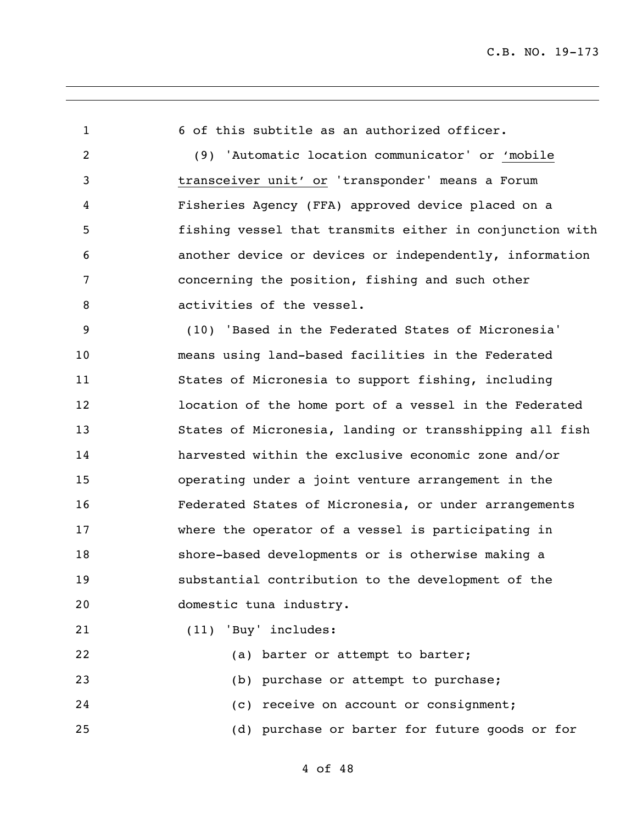6 of this subtitle as an authorized officer. (9) 'Automatic location communicator' or 'mobile transceiver unit' or 'transponder' means a Forum Fisheries Agency (FFA) approved device placed on a fishing vessel that transmits either in conjunction with another device or devices or independently, information concerning the position, fishing and such other 8 activities of the vessel. (10) 'Based in the Federated States of Micronesia' means using land-based facilities in the Federated States of Micronesia to support fishing, including location of the home port of a vessel in the Federated States of Micronesia, landing or transshipping all fish harvested within the exclusive economic zone and/or operating under a joint venture arrangement in the Federated States of Micronesia, or under arrangements where the operator of a vessel is participating in shore-based developments or is otherwise making a substantial contribution to the development of the domestic tuna industry. (11) 'Buy' includes: 22 (a) barter or attempt to barter; (b) purchase or attempt to purchase; (c) receive on account or consignment;

(d) purchase or barter for future goods or for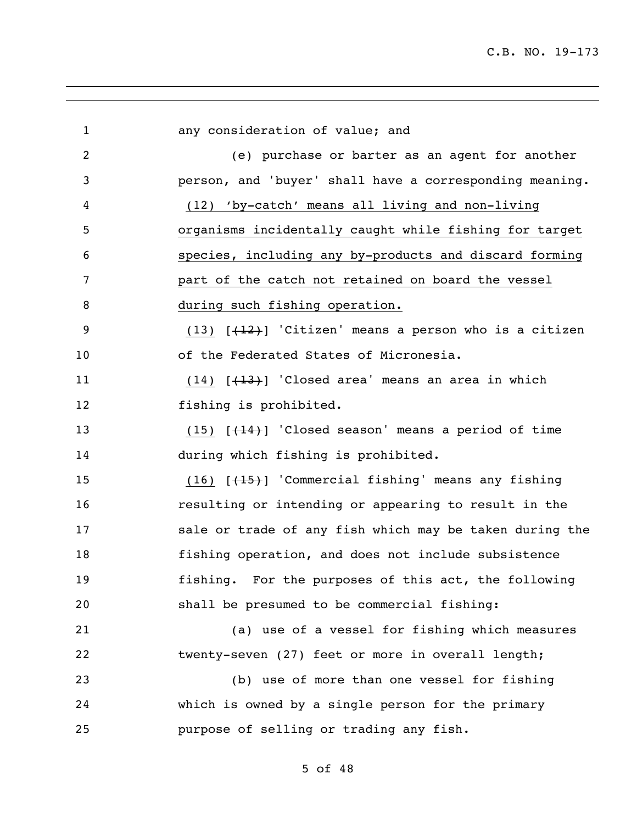| $\overline{2}$<br>(e) purchase or barter as an agent for another<br>3<br>person, and 'buyer' shall have a corresponding meaning.<br>(12) 'by-catch' means all living and non-living<br>4<br>organisms incidentally caught while fishing for target<br>5<br>species, including any by-products and discard forming<br>6<br>part of the catch not retained on board the vessel<br>7<br>8<br>during such fishing operation.<br>9<br>$(13)$ $[+12)$ 'Citizen' means a person who is a citizen<br>of the Federated States of Micronesia.<br>10<br>$(14)$ $[+13)$ 'Closed area' means an area in which<br>11<br>fishing is prohibited.<br>12<br>13<br>$(15)$ [ $(14)$ ] 'Closed season' means a period of time<br>during which fishing is prohibited.<br>14<br>$(16)$ $[+15)$ 'Commercial fishing' means any fishing<br>15<br>resulting or intending or appearing to result in the<br>16<br>17<br>sale or trade of any fish which may be taken during the<br>fishing operation, and does not include subsistence<br>18<br>fishing. For the purposes of this act, the following<br>19<br>20<br>shall be presumed to be commercial fishing:<br>(a) use of a vessel for fishing which measures<br>21<br>22<br>twenty-seven (27) feet or more in overall length;<br>23<br>(b) use of more than one vessel for fishing<br>24<br>which is owned by a single person for the primary<br>25<br>purpose of selling or trading any fish. | $\mathbf{1}$ | any consideration of value; and |
|-------------------------------------------------------------------------------------------------------------------------------------------------------------------------------------------------------------------------------------------------------------------------------------------------------------------------------------------------------------------------------------------------------------------------------------------------------------------------------------------------------------------------------------------------------------------------------------------------------------------------------------------------------------------------------------------------------------------------------------------------------------------------------------------------------------------------------------------------------------------------------------------------------------------------------------------------------------------------------------------------------------------------------------------------------------------------------------------------------------------------------------------------------------------------------------------------------------------------------------------------------------------------------------------------------------------------------------------------------------------------------------------------------------------------|--------------|---------------------------------|
|                                                                                                                                                                                                                                                                                                                                                                                                                                                                                                                                                                                                                                                                                                                                                                                                                                                                                                                                                                                                                                                                                                                                                                                                                                                                                                                                                                                                                         |              |                                 |
|                                                                                                                                                                                                                                                                                                                                                                                                                                                                                                                                                                                                                                                                                                                                                                                                                                                                                                                                                                                                                                                                                                                                                                                                                                                                                                                                                                                                                         |              |                                 |
|                                                                                                                                                                                                                                                                                                                                                                                                                                                                                                                                                                                                                                                                                                                                                                                                                                                                                                                                                                                                                                                                                                                                                                                                                                                                                                                                                                                                                         |              |                                 |
|                                                                                                                                                                                                                                                                                                                                                                                                                                                                                                                                                                                                                                                                                                                                                                                                                                                                                                                                                                                                                                                                                                                                                                                                                                                                                                                                                                                                                         |              |                                 |
|                                                                                                                                                                                                                                                                                                                                                                                                                                                                                                                                                                                                                                                                                                                                                                                                                                                                                                                                                                                                                                                                                                                                                                                                                                                                                                                                                                                                                         |              |                                 |
|                                                                                                                                                                                                                                                                                                                                                                                                                                                                                                                                                                                                                                                                                                                                                                                                                                                                                                                                                                                                                                                                                                                                                                                                                                                                                                                                                                                                                         |              |                                 |
|                                                                                                                                                                                                                                                                                                                                                                                                                                                                                                                                                                                                                                                                                                                                                                                                                                                                                                                                                                                                                                                                                                                                                                                                                                                                                                                                                                                                                         |              |                                 |
|                                                                                                                                                                                                                                                                                                                                                                                                                                                                                                                                                                                                                                                                                                                                                                                                                                                                                                                                                                                                                                                                                                                                                                                                                                                                                                                                                                                                                         |              |                                 |
|                                                                                                                                                                                                                                                                                                                                                                                                                                                                                                                                                                                                                                                                                                                                                                                                                                                                                                                                                                                                                                                                                                                                                                                                                                                                                                                                                                                                                         |              |                                 |
|                                                                                                                                                                                                                                                                                                                                                                                                                                                                                                                                                                                                                                                                                                                                                                                                                                                                                                                                                                                                                                                                                                                                                                                                                                                                                                                                                                                                                         |              |                                 |
|                                                                                                                                                                                                                                                                                                                                                                                                                                                                                                                                                                                                                                                                                                                                                                                                                                                                                                                                                                                                                                                                                                                                                                                                                                                                                                                                                                                                                         |              |                                 |
|                                                                                                                                                                                                                                                                                                                                                                                                                                                                                                                                                                                                                                                                                                                                                                                                                                                                                                                                                                                                                                                                                                                                                                                                                                                                                                                                                                                                                         |              |                                 |
|                                                                                                                                                                                                                                                                                                                                                                                                                                                                                                                                                                                                                                                                                                                                                                                                                                                                                                                                                                                                                                                                                                                                                                                                                                                                                                                                                                                                                         |              |                                 |
|                                                                                                                                                                                                                                                                                                                                                                                                                                                                                                                                                                                                                                                                                                                                                                                                                                                                                                                                                                                                                                                                                                                                                                                                                                                                                                                                                                                                                         |              |                                 |
|                                                                                                                                                                                                                                                                                                                                                                                                                                                                                                                                                                                                                                                                                                                                                                                                                                                                                                                                                                                                                                                                                                                                                                                                                                                                                                                                                                                                                         |              |                                 |
|                                                                                                                                                                                                                                                                                                                                                                                                                                                                                                                                                                                                                                                                                                                                                                                                                                                                                                                                                                                                                                                                                                                                                                                                                                                                                                                                                                                                                         |              |                                 |
|                                                                                                                                                                                                                                                                                                                                                                                                                                                                                                                                                                                                                                                                                                                                                                                                                                                                                                                                                                                                                                                                                                                                                                                                                                                                                                                                                                                                                         |              |                                 |
|                                                                                                                                                                                                                                                                                                                                                                                                                                                                                                                                                                                                                                                                                                                                                                                                                                                                                                                                                                                                                                                                                                                                                                                                                                                                                                                                                                                                                         |              |                                 |
|                                                                                                                                                                                                                                                                                                                                                                                                                                                                                                                                                                                                                                                                                                                                                                                                                                                                                                                                                                                                                                                                                                                                                                                                                                                                                                                                                                                                                         |              |                                 |
|                                                                                                                                                                                                                                                                                                                                                                                                                                                                                                                                                                                                                                                                                                                                                                                                                                                                                                                                                                                                                                                                                                                                                                                                                                                                                                                                                                                                                         |              |                                 |
|                                                                                                                                                                                                                                                                                                                                                                                                                                                                                                                                                                                                                                                                                                                                                                                                                                                                                                                                                                                                                                                                                                                                                                                                                                                                                                                                                                                                                         |              |                                 |
|                                                                                                                                                                                                                                                                                                                                                                                                                                                                                                                                                                                                                                                                                                                                                                                                                                                                                                                                                                                                                                                                                                                                                                                                                                                                                                                                                                                                                         |              |                                 |
|                                                                                                                                                                                                                                                                                                                                                                                                                                                                                                                                                                                                                                                                                                                                                                                                                                                                                                                                                                                                                                                                                                                                                                                                                                                                                                                                                                                                                         |              |                                 |
|                                                                                                                                                                                                                                                                                                                                                                                                                                                                                                                                                                                                                                                                                                                                                                                                                                                                                                                                                                                                                                                                                                                                                                                                                                                                                                                                                                                                                         |              |                                 |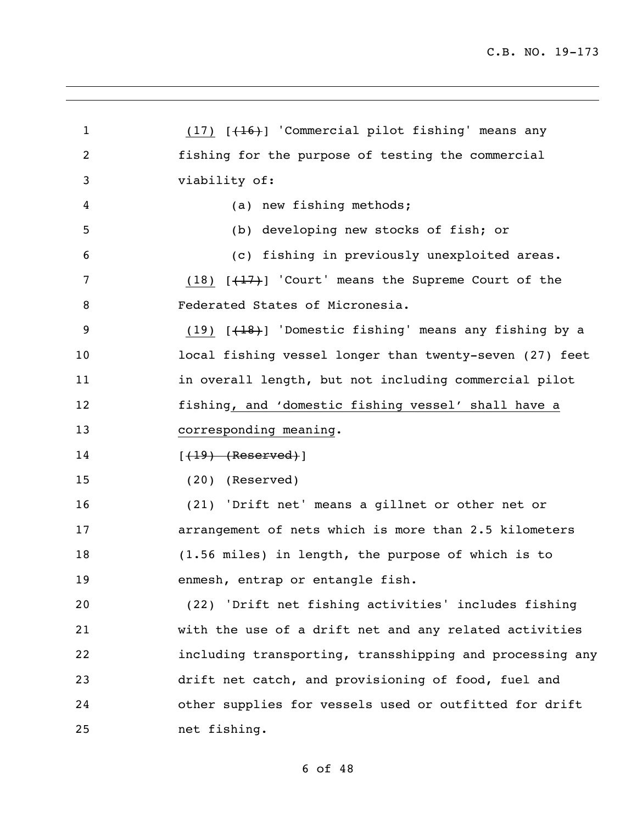1 (17) [(16)] 'Commercial pilot fishing' means any fishing for the purpose of testing the commercial viability of: (a) new fishing methods; (b) developing new stocks of fish; or (c) fishing in previously unexploited areas. 7 (18) [(17)] 'Court' means the Supreme Court of the Federated States of Micronesia. 9 (19) [<del>(18)</del>] 'Domestic fishing' means any fishing by a local fishing vessel longer than twenty-seven (27) feet 11 in overall length, but not including commercial pilot fishing, and 'domestic fishing vessel' shall have a corresponding meaning. **[(19) (Reserved)**] (20) (Reserved) (21) 'Drift net' means a gillnet or other net or arrangement of nets which is more than 2.5 kilometers (1.56 miles) in length, the purpose of which is to enmesh, entrap or entangle fish. (22) 'Drift net fishing activities' includes fishing with the use of a drift net and any related activities including transporting, transshipping and processing any drift net catch, and provisioning of food, fuel and other supplies for vessels used or outfitted for drift net fishing.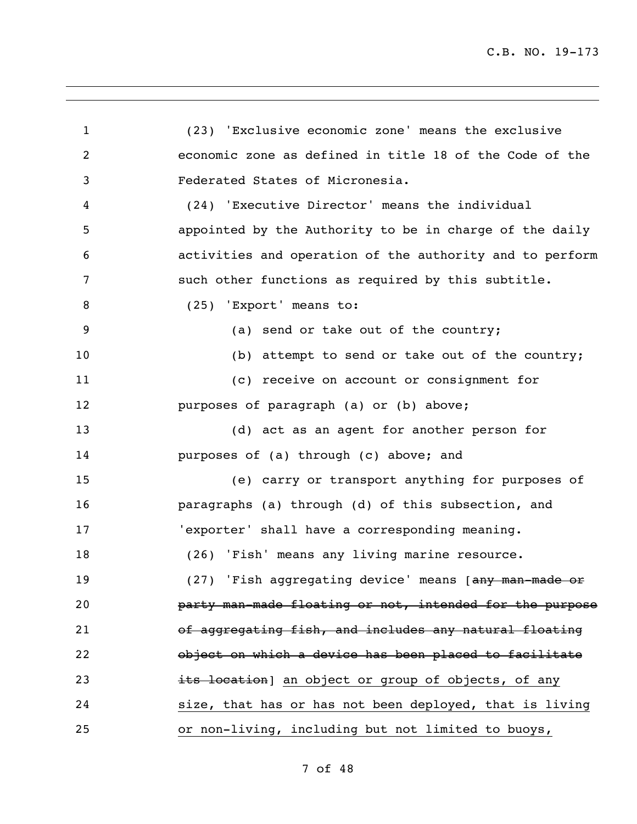(23) 'Exclusive economic zone' means the exclusive economic zone as defined in title 18 of the Code of the Federated States of Micronesia. (24) 'Executive Director' means the individual appointed by the Authority to be in charge of the daily activities and operation of the authority and to perform such other functions as required by this subtitle. 8 (25) 'Export' means to: 9 (a) send or take out of the country; 10 (b) attempt to send or take out of the country; (c) receive on account or consignment for purposes of paragraph (a) or (b) above; (d) act as an agent for another person for purposes of (a) through (c) above; and (e) carry or transport anything for purposes of paragraphs (a) through (d) of this subsection, and 'exporter' shall have a corresponding meaning. (26) 'Fish' means any living marine resource. 19 (27) 'Fish aggregating device' means [any man-made or party man-made floating or not, intended for the purpose of aggregating fish, and includes any natural floating object on which a device has been placed to facilitate 23 its location] an object or group of objects, of any size, that has or has not been deployed, that is living or non-living, including but not limited to buoys,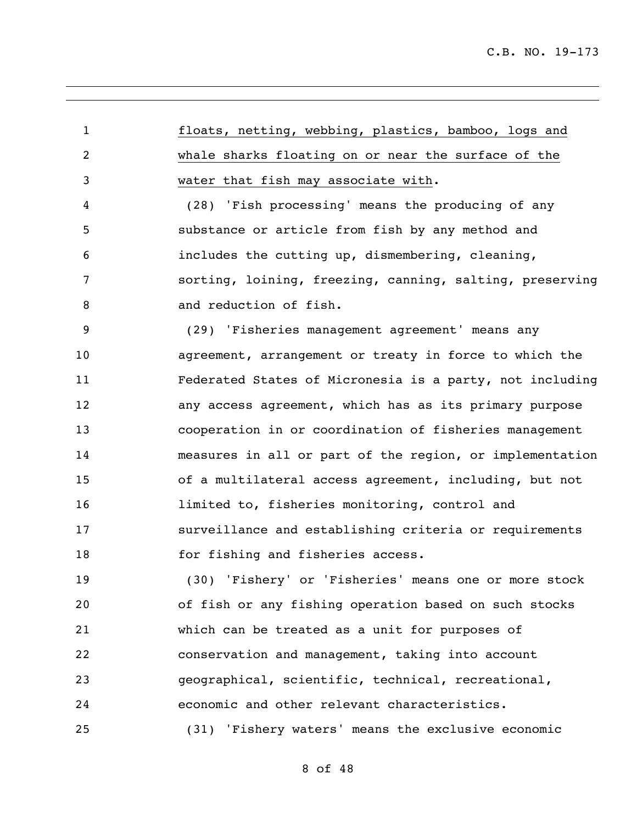floats, netting, webbing, plastics, bamboo, logs and whale sharks floating on or near the surface of the water that fish may associate with.

 (28) 'Fish processing' means the producing of any substance or article from fish by any method and includes the cutting up, dismembering, cleaning, sorting, loining, freezing, canning, salting, preserving 8 and reduction of fish.

 (29) 'Fisheries management agreement' means any agreement, arrangement or treaty in force to which the Federated States of Micronesia is a party, not including any access agreement, which has as its primary purpose cooperation in or coordination of fisheries management measures in all or part of the region, or implementation of a multilateral access agreement, including, but not **limited to, fisheries monitoring, control and**  surveillance and establishing criteria or requirements 18 for fishing and fisheries access.

 (30) 'Fishery' or 'Fisheries' means one or more stock of fish or any fishing operation based on such stocks which can be treated as a unit for purposes of conservation and management, taking into account geographical, scientific, technical, recreational, economic and other relevant characteristics. (31) 'Fishery waters' means the exclusive economic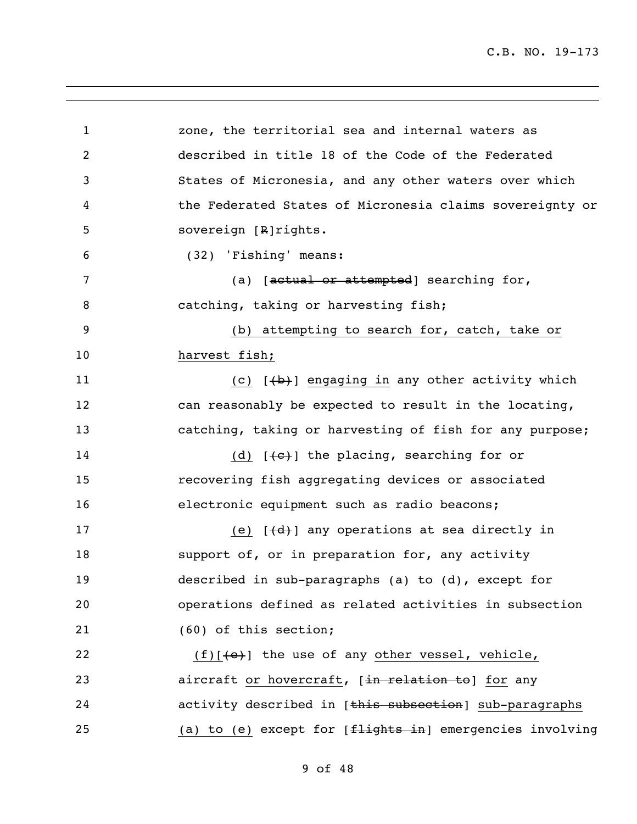| $\mathbf{1}$   | zone, the territorial sea and internal waters as                                                                                                                                                                                  |
|----------------|-----------------------------------------------------------------------------------------------------------------------------------------------------------------------------------------------------------------------------------|
| $\overline{c}$ | described in title 18 of the Code of the Federated                                                                                                                                                                                |
| 3              | States of Micronesia, and any other waters over which                                                                                                                                                                             |
| 4              | the Federated States of Micronesia claims sovereignty or                                                                                                                                                                          |
| 5              | sovereign [R]rights.                                                                                                                                                                                                              |
| 6              | (32) 'Fishing' means:                                                                                                                                                                                                             |
| 7              | (a) $[actual or attempted] searching for,$                                                                                                                                                                                        |
| 8              | catching, taking or harvesting fish;                                                                                                                                                                                              |
| 9              | (b) attempting to search for, catch, take or                                                                                                                                                                                      |
| 10             | harvest fish;                                                                                                                                                                                                                     |
| 11             | (c) $[+b+]$ engaging in any other activity which                                                                                                                                                                                  |
| 12             | can reasonably be expected to result in the locating,                                                                                                                                                                             |
| 13             | catching, taking or harvesting of fish for any purpose;                                                                                                                                                                           |
| 14             | (d) $[(-c)]$ the placing, searching for or                                                                                                                                                                                        |
| 15             | recovering fish aggregating devices or associated                                                                                                                                                                                 |
| 16             | electronic equipment such as radio beacons;                                                                                                                                                                                       |
| 17             | (e) $[d+1]$ any operations at sea directly in                                                                                                                                                                                     |
| 18             | support of, or in preparation for, any activity                                                                                                                                                                                   |
| 19             | described in sub-paragraphs (a) to (d), except for                                                                                                                                                                                |
| 20             | operations defined as related activities in subsection                                                                                                                                                                            |
| 21             | (60) of this section;                                                                                                                                                                                                             |
| 22             | $(f)$ [ $\left\{\n e\right\}$ ] the use of any other vessel, vehicle,                                                                                                                                                             |
| 23             | aircraft or hovercraft, [in relation to] for any                                                                                                                                                                                  |
| 24             | activity described in [this subsection] sub-paragraphs                                                                                                                                                                            |
| 25             | (a) to (e) except for $f$ $f$ $f$ $f$ $g$ $h$ $t$ $s$ $i$ $n$ $p$ $p$ $p$ $p$ $i$ $n$ $i$ $n$ $i$ $n$ $i$ $n$ $i$ $n$ $i$ $n$ $i$ $n$ $i$ $n$ $i$ $n$ $i$ $n$ $i$ $n$ $i$ $n$ $i$ $n$ $i$ $n$ $i$ $n$ $i$ $n$ $i$ $n$ $i$ $n$ $i$ |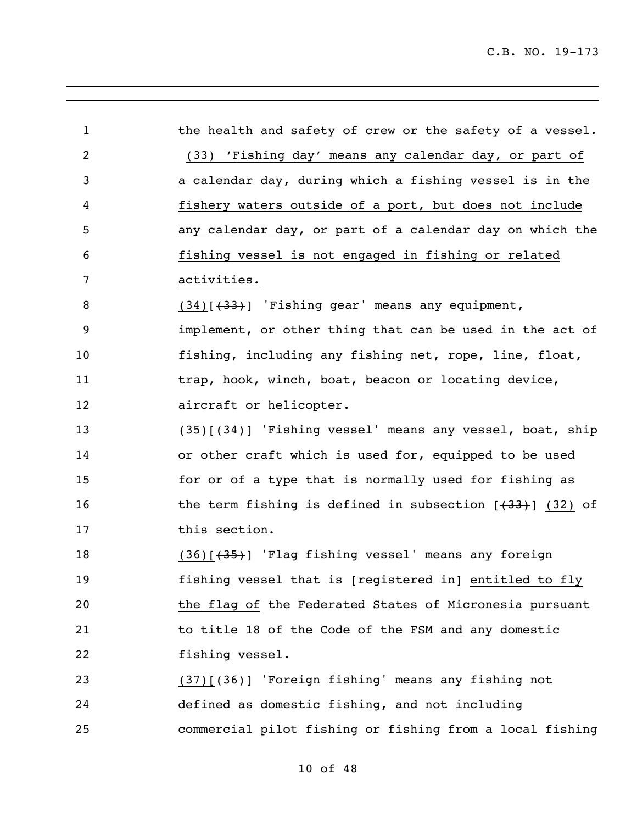| $\mathbf{1}$ | the health and safety of crew or the safety of a vessel.       |
|--------------|----------------------------------------------------------------|
| 2            | (33) 'Fishing day' means any calendar day, or part of          |
| 3            | a calendar day, during which a fishing vessel is in the        |
| 4            | fishery waters outside of a port, but does not include         |
| 5            | any calendar day, or part of a calendar day on which the       |
| 6            | fishing vessel is not engaged in fishing or related            |
| 7            | activities.                                                    |
| 8            | $(34)$ [ $(33)$ ] 'Fishing gear' means any equipment,          |
| 9            | implement, or other thing that can be used in the act of       |
| 10           | fishing, including any fishing net, rope, line, float,         |
| 11           | trap, hook, winch, boat, beacon or locating device,            |
| 12           | aircraft or helicopter.                                        |
| 13           | (35)[(34)] 'Fishing vessel' means any vessel, boat, ship       |
| 14           | or other craft which is used for, equipped to be used          |
| 15           | for or of a type that is normally used for fishing as          |
| 16           | the term fishing is defined in subsection $[$ $(33)$ $(32)$ of |
| 17           | this section.                                                  |
| 18           | $(36)$ $(35)$ ] 'Flag fishing vessel' means any foreign        |
| 19           | fishing vessel that is [registered in] entitled to fly         |
| 20           | the flag of the Federated States of Micronesia pursuant        |
| 21           | to title 18 of the Code of the FSM and any domestic            |
| 22           | fishing vessel.                                                |
| 23           | $(37)$ $(36)$ ] 'Foreign fishing' means any fishing not        |
| 24           | defined as domestic fishing, and not including                 |
| 25           | commercial pilot fishing or fishing from a local fishing       |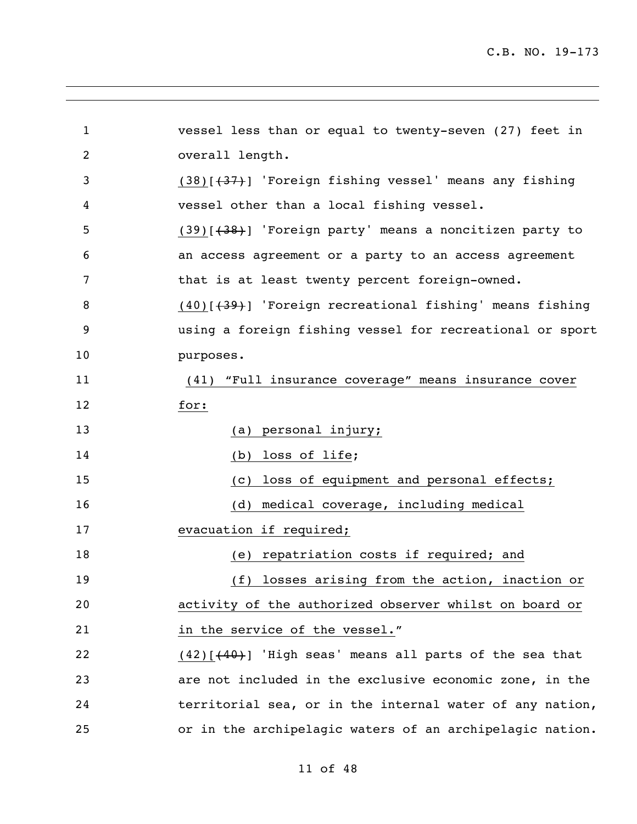| $\mathbf{1}$ | vessel less than or equal to twenty-seven (27) feet in            |
|--------------|-------------------------------------------------------------------|
| 2            | overall length.                                                   |
| 3            | $(38)$ [ $(37)$ ] 'Foreign fishing vessel' means any fishing      |
| 4            | vessel other than a local fishing vessel.                         |
| 5            | $(39)$ [ $(38)$ ] 'Foreign party' means a noncitizen party to     |
| 6            | an access agreement or a party to an access agreement             |
| 7            | that is at least twenty percent foreign-owned.                    |
| 8            | $(40)$ $(439)$ $\cdot$ Foreign recreational fishing means fishing |
| 9            | using a foreign fishing vessel for recreational or sport          |
| 10           | purposes.                                                         |
| 11           | "Full insurance coverage" means insurance cover<br>(41)           |
| 12           | for:                                                              |
| 13           | (a) personal injury;                                              |
| 14           | loss of life;<br>(b)                                              |
| 15           | loss of equipment and personal effects;<br>(C)                    |
| 16           | medical coverage, including medical<br>(d)                        |
| 17           | evacuation if required;                                           |
| 18           | (e) repatriation costs if required; and                           |
| 19           | (f) losses arising from the action, inaction or                   |
| 20           | activity of the authorized observer whilst on board or            |
| 21           | in the service of the vessel."                                    |
| 22           | $(42)$ [ $(40)$ ] 'High seas' means all parts of the sea that     |
| 23           | are not included in the exclusive economic zone, in the           |
| 24           | territorial sea, or in the internal water of any nation,          |
| 25           | or in the archipelagic waters of an archipelagic nation.          |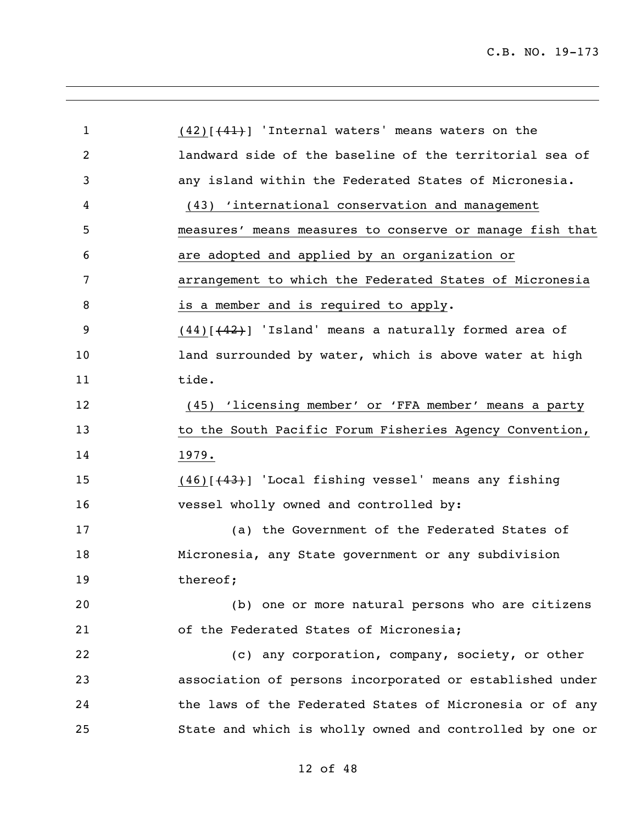| $\mathbf{1}$ | $(42)$ [ $(41)$ ] 'Internal waters' means waters on the    |
|--------------|------------------------------------------------------------|
| 2            | landward side of the baseline of the territorial sea of    |
| 3            | any island within the Federated States of Micronesia.      |
| 4            | (43) 'international conservation and management            |
| 5            | measures' means measures to conserve or manage fish that   |
| 6            | are adopted and applied by an organization or              |
| 7            | arrangement to which the Federated States of Micronesia    |
| 8            | is a member and is required to apply.                      |
| 9            | $(44)[(42)]$ 'Island' means a naturally formed area of     |
| 10           | land surrounded by water, which is above water at high     |
| 11           | tide.                                                      |
| 12           | (45) 'licensing member' or 'FFA member' means a party      |
| 13           | to the South Pacific Forum Fisheries Agency Convention,    |
| 14           | 1979.                                                      |
| 15           | $(46)$ [ $(43)$ ] 'Local fishing vessel' means any fishing |
| 16           | vessel wholly owned and controlled by:                     |
| 17           | (a) the Government of the Federated States of              |
| 18           | Micronesia, any State government or any subdivision        |
| 19           | thereof;                                                   |
| 20           | (b) one or more natural persons who are citizens           |
| 21           | of the Federated States of Micronesia;                     |
| 22           | (c) any corporation, company, society, or other            |
| 23           | association of persons incorporated or established under   |
| 24           | the laws of the Federated States of Micronesia or of any   |
| 25           | State and which is wholly owned and controlled by one or   |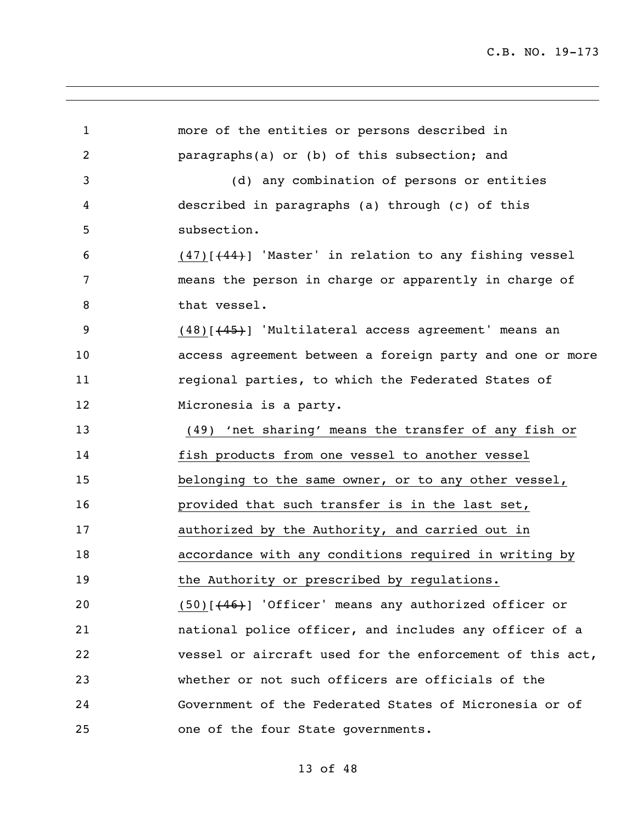more of the entities or persons described in paragraphs(a) or (b) of this subsection; and (d) any combination of persons or entities described in paragraphs (a) through (c) of this subsection. 6 (47) $(44)$ ] 'Master' in relation to any fishing vessel means the person in charge or apparently in charge of 8 that vessel. (48)[(45)] 'Multilateral access agreement' means an access agreement between a foreign party and one or more regional parties, to which the Federated States of Micronesia is a party. (49) 'net sharing' means the transfer of any fish or fish products from one vessel to another vessel belonging to the same owner, or to any other vessel, provided that such transfer is in the last set, **authorized by the Authority, and carried out in**  accordance with any conditions required in writing by 19 the Authority or prescribed by regulations. 20 (50)[(46)] 'Officer' means any authorized officer or national police officer, and includes any officer of a vessel or aircraft used for the enforcement of this act, whether or not such officers are officials of the Government of the Federated States of Micronesia or of one of the four State governments.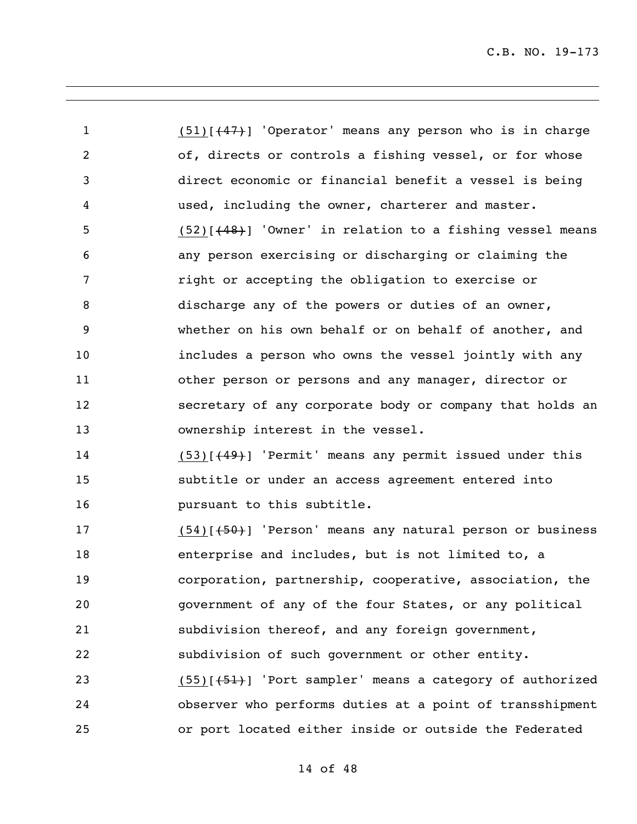1 (51)[(47)] 'Operator' means any person who is in charge of, directs or controls a fishing vessel, or for whose direct economic or financial benefit a vessel is being used, including the owner, charterer and master. (52)[(48)] 'Owner' in relation to a fishing vessel means any person exercising or discharging or claiming the right or accepting the obligation to exercise or discharge any of the powers or duties of an owner, whether on his own behalf or on behalf of another, and includes a person who owns the vessel jointly with any other person or persons and any manager, director or secretary of any corporate body or company that holds an ownership interest in the vessel.

14 (53)[(49)] 'Permit' means any permit issued under this subtitle or under an access agreement entered into **pursuant to this subtitle.** 

17 (54)[(54)] 'Person' means any natural person or business enterprise and includes, but is not limited to, a corporation, partnership, cooperative, association, the government of any of the four States, or any political subdivision thereof, and any foreign government, subdivision of such government or other entity. 23 (55)[(51)] 'Port sampler' means a category of authorized observer who performs duties at a point of transshipment or port located either inside or outside the Federated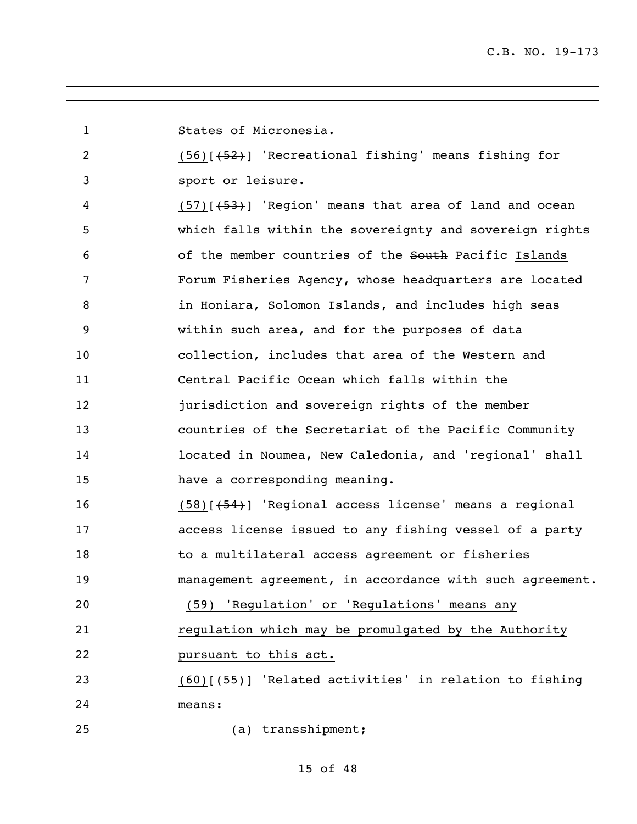States of Micronesia.

 (56)[(52)] 'Recreational fishing' means fishing for sport or leisure.

4 (57) [(53)] 'Region' means that area of land and ocean which falls within the sovereignty and sovereign rights 6 6 of the member countries of the South Pacific Islands Forum Fisheries Agency, whose headquarters are located 8 in Honiara, Solomon Islands, and includes high seas within such area, and for the purposes of data collection, includes that area of the Western and Central Pacific Ocean which falls within the jurisdiction and sovereign rights of the member countries of the Secretariat of the Pacific Community located in Noumea, New Caledonia, and 'regional' shall have a corresponding meaning.

 (58)[(54)] 'Regional access license' means a regional access license issued to any fishing vessel of a party to a multilateral access agreement or fisheries management agreement, in accordance with such agreement. (59) 'Regulation' or 'Regulations' means any

regulation which may be promulgated by the Authority

pursuant to this act.

23 (60)[(55)] 'Related activities' in relation to fishing means:

(a) transshipment;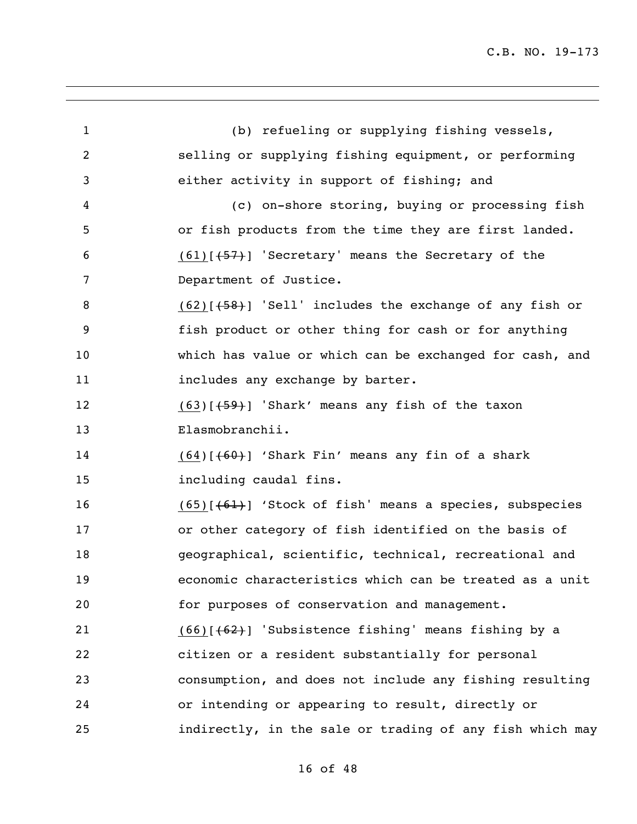| $\mathbf{1}$ | (b) refueling or supplying fishing vessels,                   |
|--------------|---------------------------------------------------------------|
| 2            | selling or supplying fishing equipment, or performing         |
| 3            | either activity in support of fishing; and                    |
| 4            | (c) on-shore storing, buying or processing fish               |
| 5            | or fish products from the time they are first landed.         |
| 6            | $(61)[+57]$ 'Secretary' means the Secretary of the            |
| 7            | Department of Justice.                                        |
| 8            | $(62)$ [ $(58)$ ] 'Sell' includes the exchange of any fish or |
| 9            | fish product or other thing for cash or for anything          |
| 10           | which has value or which can be exchanged for cash, and       |
| 11           | includes any exchange by barter.                              |
| 12           | $(63)$ $(59)$ 'Shark' means any fish of the taxon             |
| 13           | Elasmobranchii.                                               |
| 14           | $(64)$ [ $(60)$ ] 'Shark Fin' means any fin of a shark        |
| 15           | including caudal fins.                                        |
| 16           | $(65)$ [ $(61)$ ] 'Stock of fish' means a species, subspecies |
| 17           | or other category of fish identified on the basis of          |
| 18           | geographical, scientific, technical, recreational and         |
| 19           | economic characteristics which can be treated as a unit       |
| 20           | for purposes of conservation and management.                  |
| 21           | $(66)$ $(62)$ 'Subsistence fishing' means fishing by a        |
| 22           | citizen or a resident substantially for personal              |
| 23           | consumption, and does not include any fishing resulting       |
| 24           | or intending or appearing to result, directly or              |
| 25           | indirectly, in the sale or trading of any fish which may      |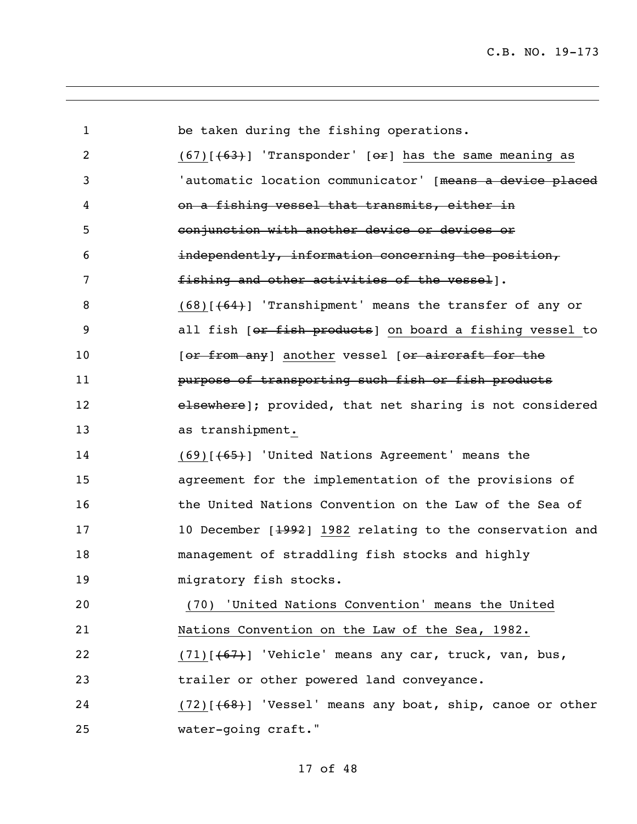be taken during the fishing operations. 2 (67) $(67)$ [ $(63)$ ] 'Transponder' [ $\Theta$ F] has the same meaning as 'automatic location communicator' [means a device placed on a fishing vessel that transmits, either in conjunction with another device or devices or independently, information concerning the position, **fishing and other activities of the vessel**]. 8 (68)[(64)] 'Transhipment' means the transfer of any or 9 all fish [or fish products] on board a fishing vessel to 10 [or from any] another vessel [or aircraft for the **purpose of transporting such fish or fish products elsewhere**]; provided, that net sharing is not considered as transhipment. (69)[(65)] 'United Nations Agreement' means the agreement for the implementation of the provisions of the United Nations Convention on the Law of the Sea of 17 10 December [1992] 1982 relating to the conservation and management of straddling fish stocks and highly **migratory** fish stocks. (70) 'United Nations Convention' means the United Nations Convention on the Law of the Sea, 1982. 22 (71) $\lceil (67) \rceil$  'Vehicle' means any car, truck, van, bus, trailer or other powered land conveyance. (72)[(68)] 'Vessel' means any boat, ship, canoe or other water-going craft."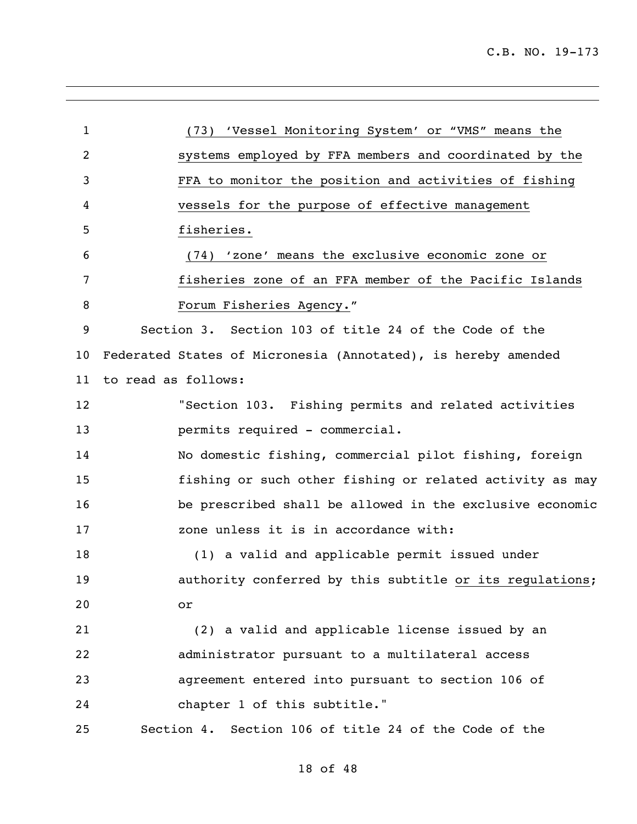| 1  |                     | (73) 'Vessel Monitoring System' or "VMS" means the            |
|----|---------------------|---------------------------------------------------------------|
| 2  |                     | systems employed by FFA members and coordinated by the        |
| 3  |                     | FFA to monitor the position and activities of fishing         |
| 4  |                     | vessels for the purpose of effective management               |
| 5  |                     | fisheries.                                                    |
| 6  |                     | (74) 'zone' means the exclusive economic zone or              |
| 7  |                     | fisheries zone of an FFA member of the Pacific Islands        |
| 8  |                     | Forum Fisheries Agency."                                      |
| 9  |                     | Section 3. Section 103 of title 24 of the Code of the         |
| 10 |                     | Federated States of Micronesia (Annotated), is hereby amended |
| 11 | to read as follows: |                                                               |
| 12 |                     | "Section 103. Fishing permits and related activities          |
| 13 |                     | permits required - commercial.                                |
| 14 |                     | No domestic fishing, commercial pilot fishing, foreign        |
| 15 |                     | fishing or such other fishing or related activity as may      |
| 16 |                     | be prescribed shall be allowed in the exclusive economic      |
| 17 |                     | zone unless it is in accordance with:                         |
| 18 |                     | (1) a valid and applicable permit issued under                |
| 19 |                     | authority conferred by this subtitle or its regulations;      |
| 20 | or                  |                                                               |
| 21 |                     | (2) a valid and applicable license issued by an               |
| 22 |                     | administrator pursuant to a multilateral access               |
| 23 |                     | agreement entered into pursuant to section 106 of             |
| 24 |                     | chapter 1 of this subtitle."                                  |
| 25 |                     | Section 4. Section 106 of title 24 of the Code of the         |
|    |                     |                                                               |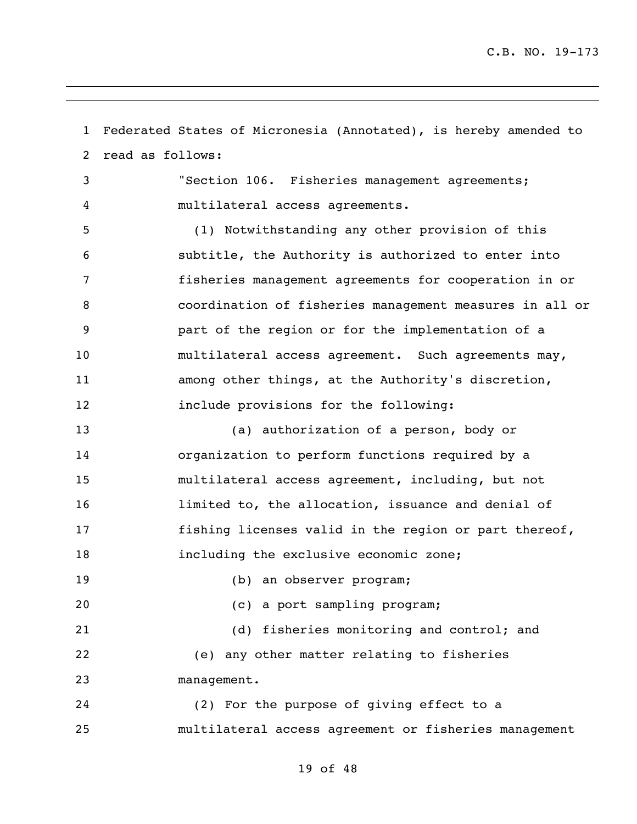Federated States of Micronesia (Annotated), is hereby amended to read as follows: "Section 106. Fisheries management agreements; multilateral access agreements. (1) Notwithstanding any other provision of this subtitle, the Authority is authorized to enter into fisheries management agreements for cooperation in or coordination of fisheries management measures in all or part of the region or for the implementation of a multilateral access agreement. Such agreements may, among other things, at the Authority's discretion, include provisions for the following: (a) authorization of a person, body or organization to perform functions required by a multilateral access agreement, including, but not limited to, the allocation, issuance and denial of 17 fishing licenses valid in the region or part thereof, including the exclusive economic zone; 19 (b) an observer program; (c) a port sampling program; (d) fisheries monitoring and control; and (e) any other matter relating to fisheries management. (2) For the purpose of giving effect to a multilateral access agreement or fisheries management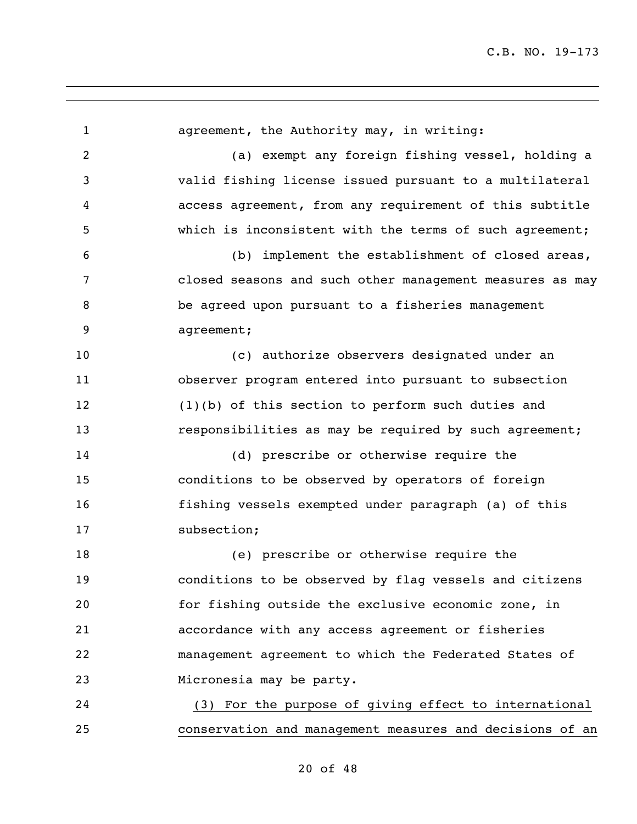agreement, the Authority may, in writing: (a) exempt any foreign fishing vessel, holding a valid fishing license issued pursuant to a multilateral access agreement, from any requirement of this subtitle which is inconsistent with the terms of such agreement; (b) implement the establishment of closed areas, closed seasons and such other management measures as may be agreed upon pursuant to a fisheries management agreement; (c) authorize observers designated under an observer program entered into pursuant to subsection (1)(b) of this section to perform such duties and **responsibilities as may be required by such agreement;**  (d) prescribe or otherwise require the conditions to be observed by operators of foreign fishing vessels exempted under paragraph (a) of this subsection; (e) prescribe or otherwise require the conditions to be observed by flag vessels and citizens for fishing outside the exclusive economic zone, in accordance with any access agreement or fisheries management agreement to which the Federated States of Micronesia may be party. (3) For the purpose of giving effect to international conservation and management measures and decisions of an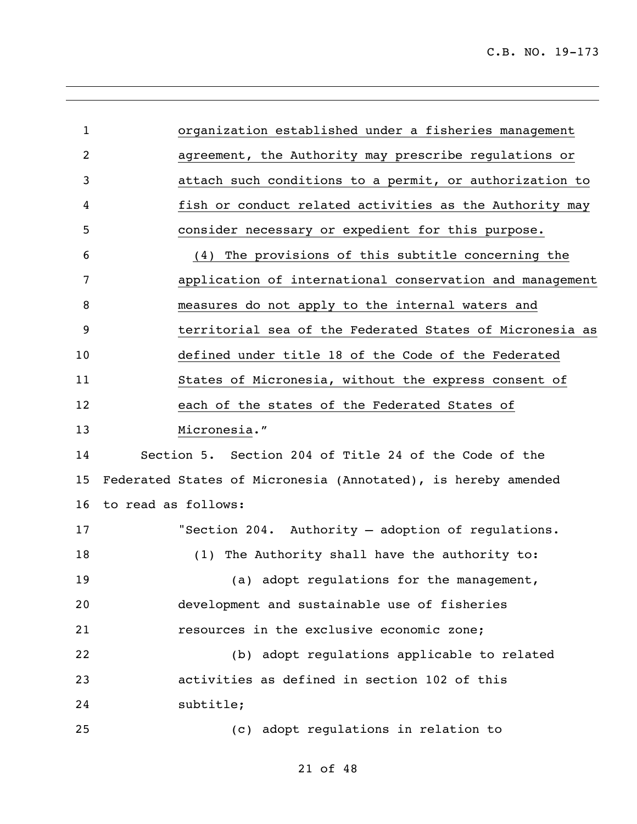| $\mathbf{1}$   | organization established under a fisheries management         |
|----------------|---------------------------------------------------------------|
| $\overline{c}$ | agreement, the Authority may prescribe regulations or         |
| 3              | attach such conditions to a permit, or authorization to       |
| 4              | fish or conduct related activities as the Authority may       |
| 5              | consider necessary or expedient for this purpose.             |
| 6              | (4) The provisions of this subtitle concerning the            |
| 7              | application of international conservation and management      |
| 8              | measures do not apply to the internal waters and              |
| 9              | territorial sea of the Federated States of Micronesia as      |
| 10             | defined under title 18 of the Code of the Federated           |
| 11             | States of Micronesia, without the express consent of          |
| 12             | each of the states of the Federated States of                 |
| 13             | Micronesia."                                                  |
| 14             | Section 5. Section 204 of Title 24 of the Code of the         |
| 15             | Federated States of Micronesia (Annotated), is hereby amended |
| 16             | to read as follows:                                           |
| 17             | "Section 204. Authority - adoption of regulations.            |
| 18             | (1) The Authority shall have the authority to:                |
| 19             | (a) adopt regulations for the management,                     |
| 20             | development and sustainable use of fisheries                  |
| 21             | resources in the exclusive economic zone;                     |
| 22             | (b) adopt regulations applicable to related                   |
| 23             | activities as defined in section 102 of this                  |
| 24             | subtitle;                                                     |
| 25             | (c) adopt regulations in relation to                          |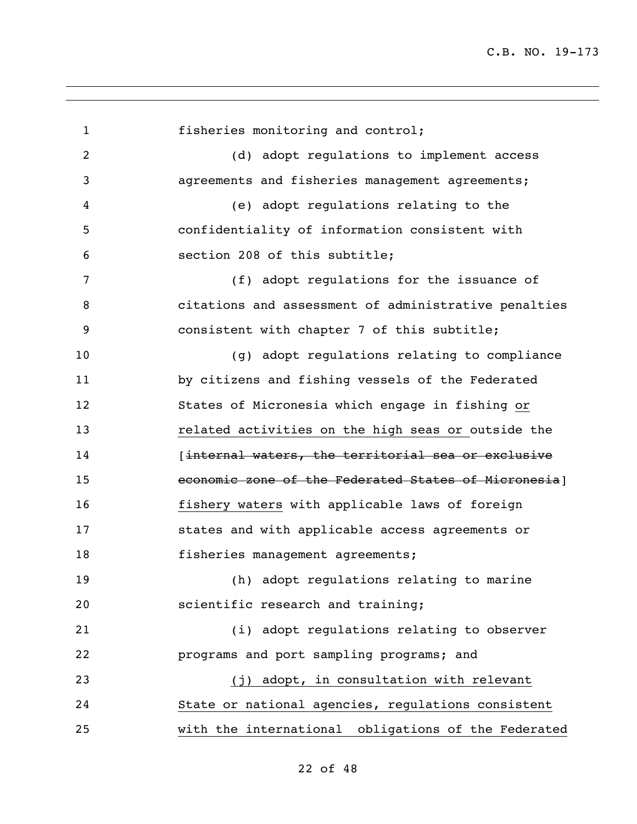fisheries monitoring and control; (d) adopt regulations to implement access agreements and fisheries management agreements; (e) adopt regulations relating to the confidentiality of information consistent with section 208 of this subtitle; (f) adopt regulations for the issuance of citations and assessment of administrative penalties consistent with chapter 7 of this subtitle; (g) adopt regulations relating to compliance by citizens and fishing vessels of the Federated States of Micronesia which engage in fishing or related activities on the high seas or outside the **Internal waters, the territorial sea or exclusive**  economic zone of the Federated States of Micronesia] fishery waters with applicable laws of foreign states and with applicable access agreements or 18 fisheries management agreements; (h) adopt regulations relating to marine scientific research and training; (i) adopt regulations relating to observer programs and port sampling programs; and 23 (j) adopt, in consultation with relevant State or national agencies, regulations consistent with the international obligations of the Federated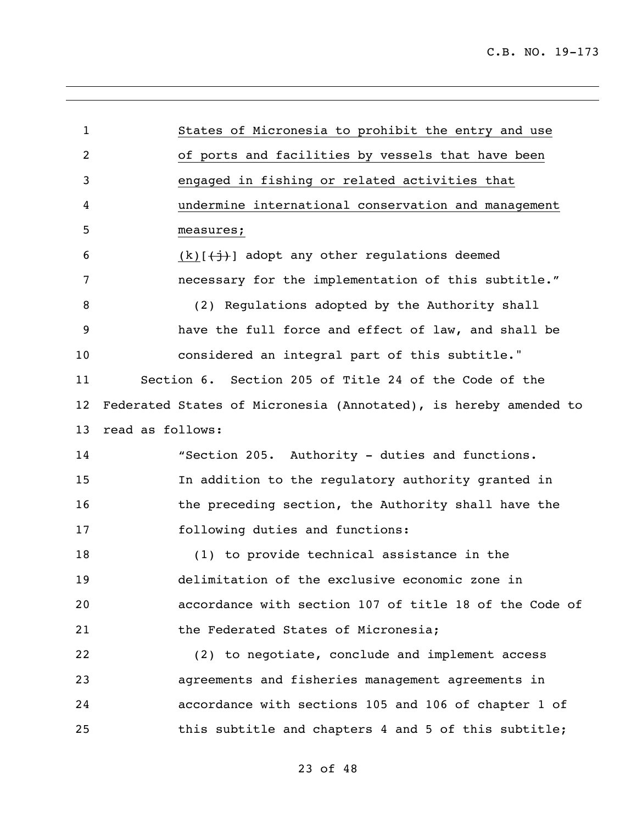| $\mathbf{1}$   | States of Micronesia to prohibit the entry and use               |
|----------------|------------------------------------------------------------------|
| $\overline{c}$ | of ports and facilities by vessels that have been                |
| 3              | engaged in fishing or related activities that                    |
| 4              | undermine international conservation and management              |
| 5              | measures;                                                        |
| 6              | $(k)$ $(\frac{1}{2})$ adopt any other regulations deemed         |
| 7              | necessary for the implementation of this subtitle."              |
| 8              | (2) Regulations adopted by the Authority shall                   |
| 9              | have the full force and effect of law, and shall be              |
| 10             | considered an integral part of this subtitle."                   |
| 11             | Section 6. Section 205 of Title 24 of the Code of the            |
| 12             | Federated States of Micronesia (Annotated), is hereby amended to |
| 13             | read as follows:                                                 |
| 14             | "Section 205. Authority - duties and functions.                  |
| 15             | In addition to the regulatory authority granted in               |
| 16             | the preceding section, the Authority shall have the              |
| 17             | following duties and functions:                                  |
| 18             | (1) to provide technical assistance in the                       |
| 19             | delimitation of the exclusive economic zone in                   |
| 20             | accordance with section 107 of title 18 of the Code of           |
| 21             | the Federated States of Micronesia;                              |
| 22             | (2) to negotiate, conclude and implement access                  |
| 23             | agreements and fisheries management agreements in                |
| 24             | accordance with sections 105 and 106 of chapter 1 of             |
| 25             | this subtitle and chapters 4 and 5 of this subtitle;             |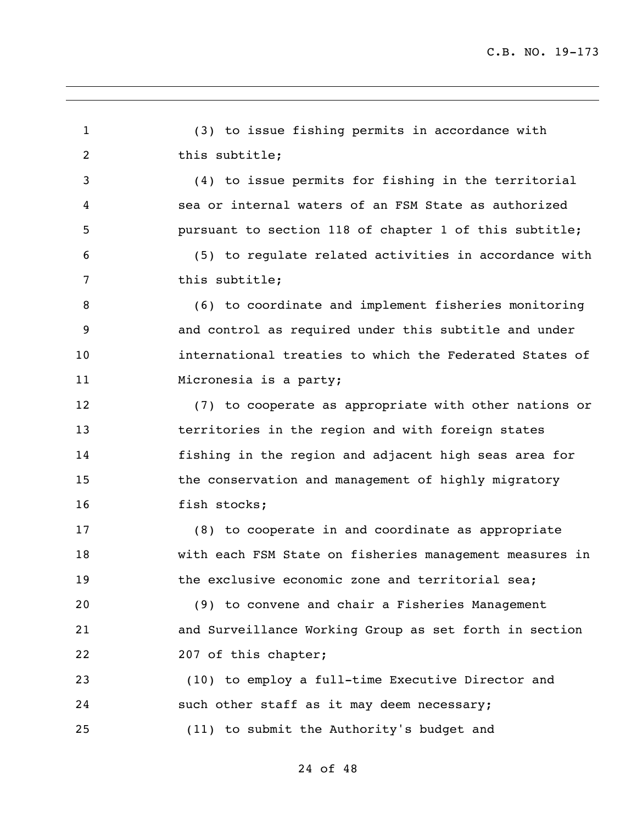(3) to issue fishing permits in accordance with 2 this subtitle; (4) to issue permits for fishing in the territorial sea or internal waters of an FSM State as authorized pursuant to section 118 of chapter 1 of this subtitle; (5) to regulate related activities in accordance with 7 this subtitle; (6) to coordinate and implement fisheries monitoring and control as required under this subtitle and under international treaties to which the Federated States of 11 Micronesia is a party; (7) to cooperate as appropriate with other nations or territories in the region and with foreign states fishing in the region and adjacent high seas area for 15 the conservation and management of highly migratory 16 fish stocks; (8) to cooperate in and coordinate as appropriate with each FSM State on fisheries management measures in 19 the exclusive economic zone and territorial sea; (9) to convene and chair a Fisheries Management and Surveillance Working Group as set forth in section 22 207 of this chapter; (10) to employ a full-time Executive Director and such other staff as it may deem necessary; (11) to submit the Authority's budget and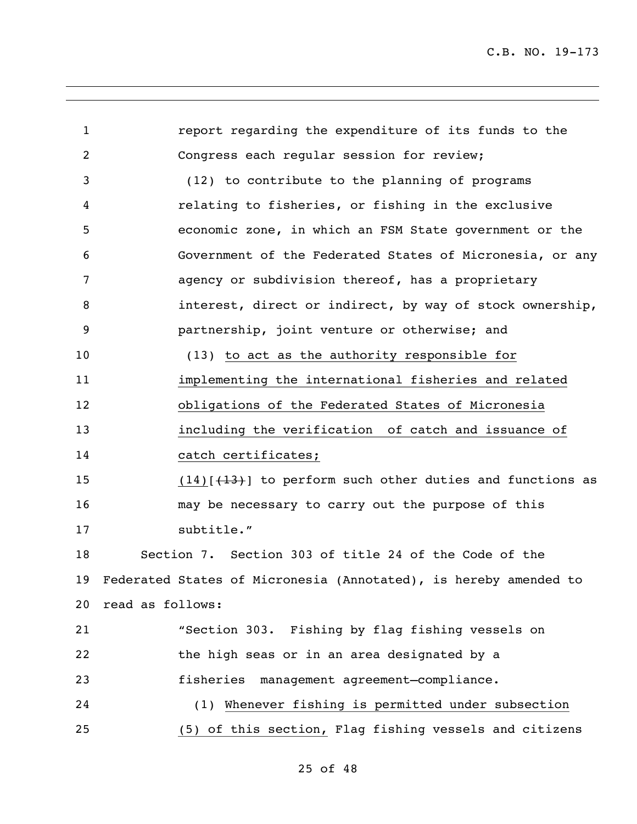| $\mathbf{1}$    | report regarding the expenditure of its funds to the             |  |
|-----------------|------------------------------------------------------------------|--|
| $\overline{2}$  | Congress each regular session for review;                        |  |
| 3               | (12) to contribute to the planning of programs                   |  |
| 4               | relating to fisheries, or fishing in the exclusive               |  |
| 5               | economic zone, in which an FSM State government or the           |  |
| 6               | Government of the Federated States of Micronesia, or any         |  |
| 7               | agency or subdivision thereof, has a proprietary                 |  |
| 8               | interest, direct or indirect, by way of stock ownership,         |  |
| 9               | partnership, joint venture or otherwise; and                     |  |
| 10 <sub>o</sub> | (13) to act as the authority responsible for                     |  |
| 11              | implementing the international fisheries and related             |  |
| 12              | obligations of the Federated States of Micronesia                |  |
| 13              | including the verification of catch and issuance of              |  |
| 14              | catch certificates;                                              |  |
| 15              | $(14)$ $(13)$ to perform such other duties and functions as      |  |
| 16              | may be necessary to carry out the purpose of this                |  |
| 17              | subtitle."                                                       |  |
| 18              | Section 7. Section 303 of title 24 of the Code of the            |  |
| 19              | Federated States of Micronesia (Annotated), is hereby amended to |  |
| 20              | read as follows:                                                 |  |
| 21              | "Section 303. Fishing by flag fishing vessels on                 |  |
| 22              | the high seas or in an area designated by a                      |  |
| 23              | fisheries management agreement-compliance.                       |  |
| 24              | (1) Whenever fishing is permitted under subsection               |  |
| 25              | (5) of this section, Flag fishing vessels and citizens           |  |
|                 |                                                                  |  |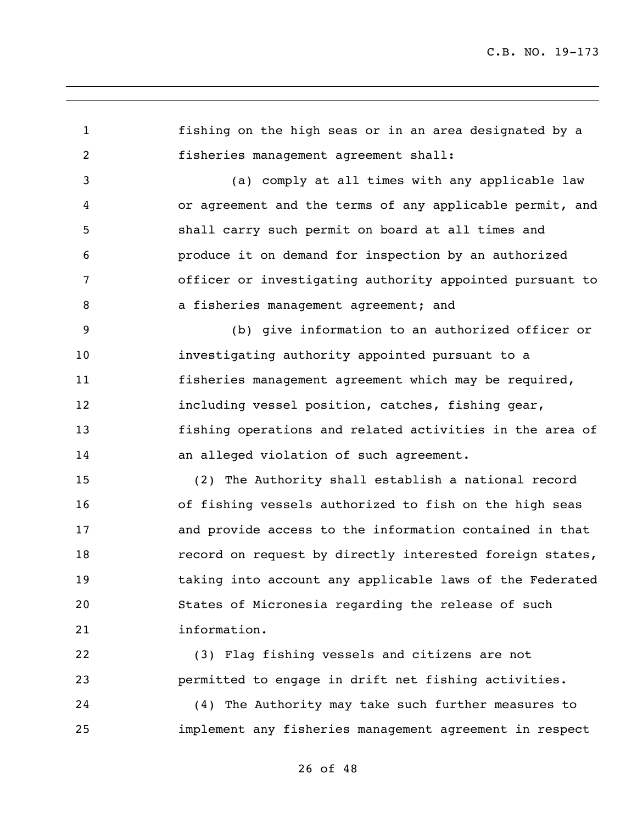fishing on the high seas or in an area designated by a fisheries management agreement shall: (a) comply at all times with any applicable law or agreement and the terms of any applicable permit, and shall carry such permit on board at all times and produce it on demand for inspection by an authorized officer or investigating authority appointed pursuant to 8 a fisheries management agreement; and (b) give information to an authorized officer or investigating authority appointed pursuant to a fisheries management agreement which may be required, including vessel position, catches, fishing gear, fishing operations and related activities in the area of 14 an alleged violation of such agreement. (2) The Authority shall establish a national record of fishing vessels authorized to fish on the high seas and provide access to the information contained in that 18 record on request by directly interested foreign states, taking into account any applicable laws of the Federated States of Micronesia regarding the release of such information. (3) Flag fishing vessels and citizens are not permitted to engage in drift net fishing activities. (4) The Authority may take such further measures to implement any fisheries management agreement in respect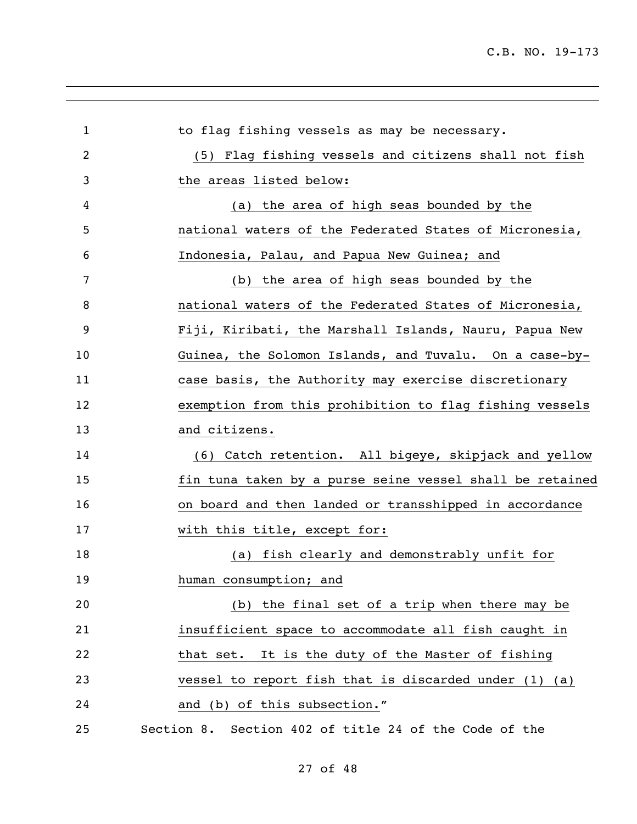| $\mathbf 1$    | to flag fishing vessels as may be necessary.              |
|----------------|-----------------------------------------------------------|
| $\overline{2}$ | (5) Flag fishing vessels and citizens shall not fish      |
| 3              | the areas listed below:                                   |
| 4              | (a) the area of high seas bounded by the                  |
| 5              | national waters of the Federated States of Micronesia,    |
| 6              | Indonesia, Palau, and Papua New Guinea; and               |
| 7              | the area of high seas bounded by the<br>(b)               |
| 8              | national waters of the Federated States of Micronesia,    |
| 9              | Fiji, Kiribati, the Marshall Islands, Nauru, Papua New    |
| 10             | Guinea, the Solomon Islands, and Tuvalu. On a case-by-    |
| 11             | case basis, the Authority may exercise discretionary      |
| 12             | exemption from this prohibition to flag fishing vessels   |
| 13             | and citizens.                                             |
| 14             | (6) Catch retention. All bigeye, skipjack and yellow      |
| 15             | fin tuna taken by a purse seine vessel shall be retained  |
| 16             | on board and then landed or transshipped in accordance    |
| 17             | with this title, except for:                              |
| 18             | (a) fish clearly and demonstrably unfit for               |
| 19             | human consumption; and                                    |
| 20             | (b) the final set of a trip when there may be             |
| 21             | insufficient space to accommodate all fish caught in      |
| 22             | that set. It is the duty of the Master of fishing         |
| 23             | vessel to report fish that is discarded under $(1)$ $(a)$ |
| 24             | and (b) of this subsection."                              |
| 25             | Section 8. Section 402 of title 24 of the Code of the     |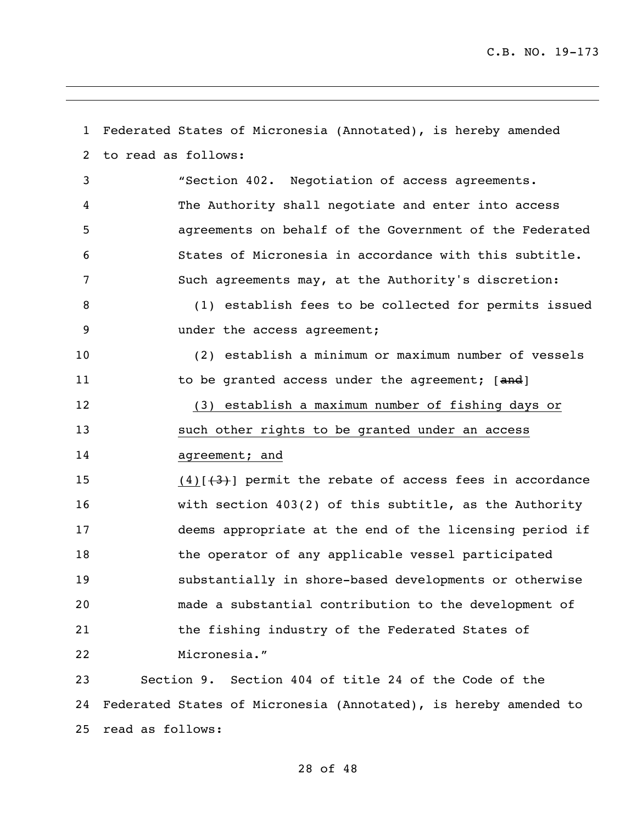Federated States of Micronesia (Annotated), is hereby amended to read as follows: "Section 402. Negotiation of access agreements. The Authority shall negotiate and enter into access agreements on behalf of the Government of the Federated States of Micronesia in accordance with this subtitle. Such agreements may, at the Authority's discretion: (1) establish fees to be collected for permits issued under the access agreement; (2) establish a minimum or maximum number of vessels 11 to be granted access under the agreement; [and] (3) establish a maximum number of fishing days or such other rights to be granted under an access 14 agreement; and 15 (4) $(4)$ [(3)] permit the rebate of access fees in accordance with section 403(2) of this subtitle, as the Authority deems appropriate at the end of the licensing period if 18 the operator of any applicable vessel participated substantially in shore-based developments or otherwise made a substantial contribution to the development of 21 the fishing industry of the Federated States of Micronesia." Section 9. Section 404 of title 24 of the Code of the Federated States of Micronesia (Annotated), is hereby amended to

read as follows: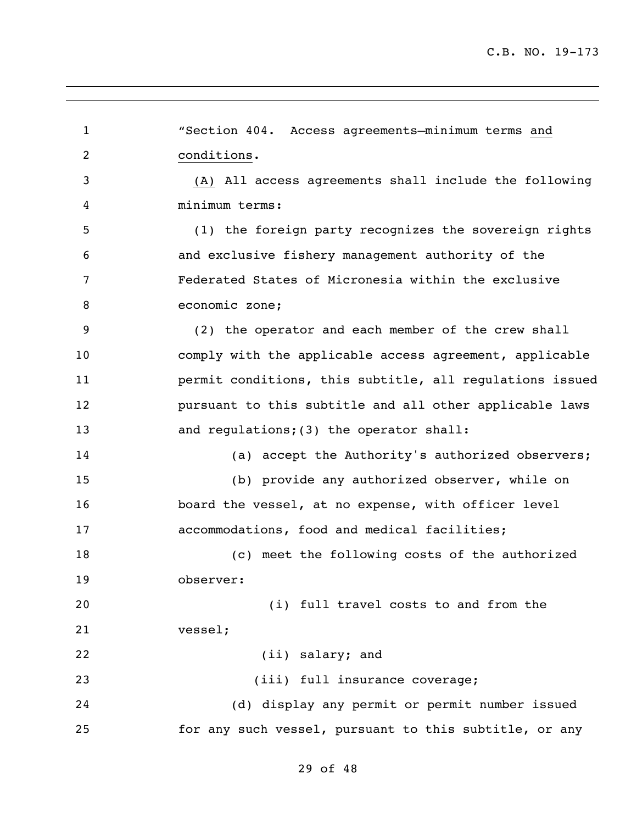"Section 404. Access agreements—minimum terms and conditions. (A) All access agreements shall include the following minimum terms: (1) the foreign party recognizes the sovereign rights and exclusive fishery management authority of the Federated States of Micronesia within the exclusive economic zone; (2) the operator and each member of the crew shall comply with the applicable access agreement, applicable permit conditions, this subtitle, all regulations issued pursuant to this subtitle and all other applicable laws 13 and requiations; (3) the operator shall: 14 (a) accept the Authority's authorized observers; (b) provide any authorized observer, while on board the vessel, at no expense, with officer level accommodations, food and medical facilities; (c) meet the following costs of the authorized observer: (i) full travel costs to and from the vessel; (ii) salary; and 23 (iii) full insurance coverage; (d) display any permit or permit number issued for any such vessel, pursuant to this subtitle, or any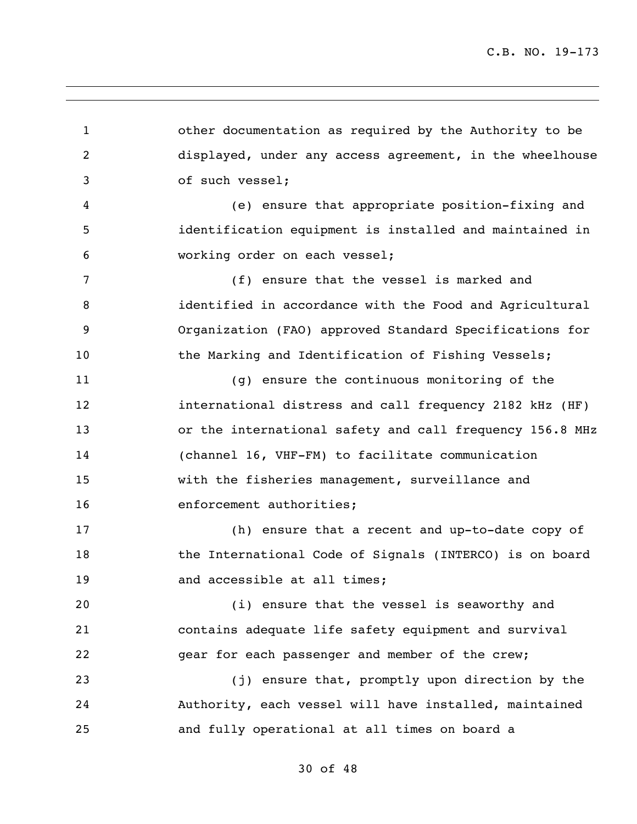other documentation as required by the Authority to be displayed, under any access agreement, in the wheelhouse of such vessel; (e) ensure that appropriate position-fixing and identification equipment is installed and maintained in working order on each vessel; (f) ensure that the vessel is marked and identified in accordance with the Food and Agricultural Organization (FAO) approved Standard Specifications for 10 the Marking and Identification of Fishing Vessels; (g) ensure the continuous monitoring of the international distress and call frequency 2182 kHz (HF) or the international safety and call frequency 156.8 MHz (channel 16, VHF-FM) to facilitate communication with the fisheries management, surveillance and 16 enforcement authorities; (h) ensure that a recent and up-to-date copy of the International Code of Signals (INTERCO) is on board 19 and accessible at all times; (i) ensure that the vessel is seaworthy and contains adequate life safety equipment and survival gear for each passenger and member of the crew; (j) ensure that, promptly upon direction by the Authority, each vessel will have installed, maintained and fully operational at all times on board a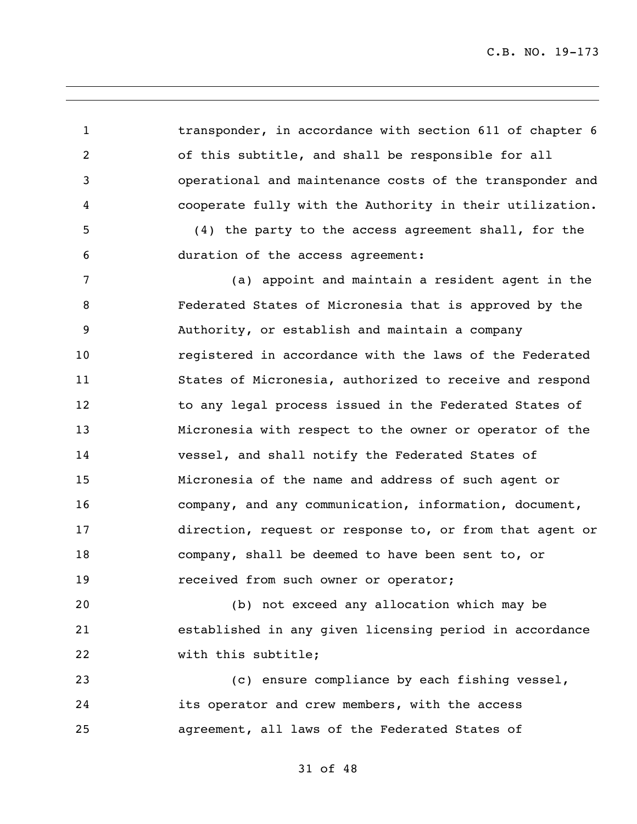1 transponder, in accordance with section 611 of chapter 6 of this subtitle, and shall be responsible for all operational and maintenance costs of the transponder and cooperate fully with the Authority in their utilization. (4) the party to the access agreement shall, for the duration of the access agreement: (a) appoint and maintain a resident agent in the Federated States of Micronesia that is approved by the Authority, or establish and maintain a company registered in accordance with the laws of the Federated States of Micronesia, authorized to receive and respond 12 to any legal process issued in the Federated States of Micronesia with respect to the owner or operator of the vessel, and shall notify the Federated States of Micronesia of the name and address of such agent or company, and any communication, information, document, direction, request or response to, or from that agent or company, shall be deemed to have been sent to, or received from such owner or operator; (b) not exceed any allocation which may be established in any given licensing period in accordance 22 with this subtitle; (c) ensure compliance by each fishing vessel, its operator and crew members, with the access agreement, all laws of the Federated States of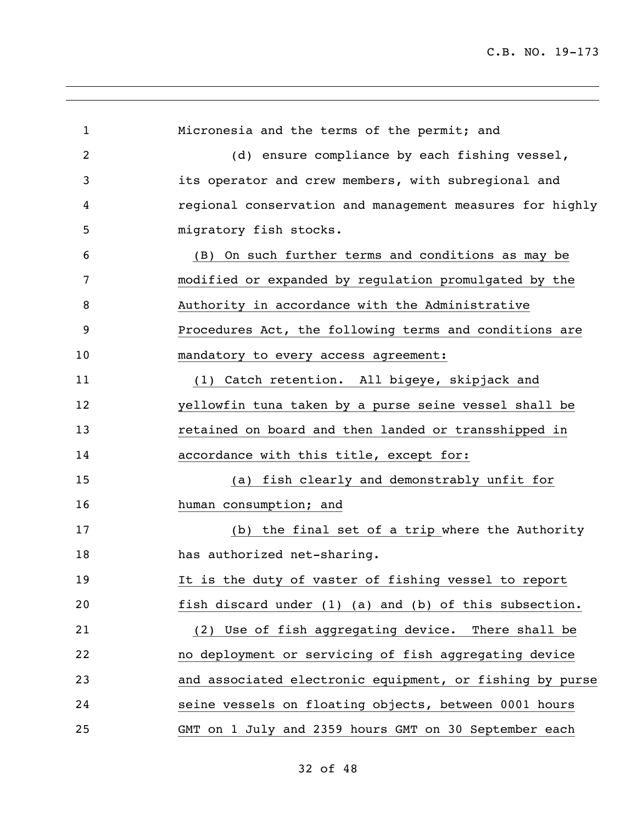| $\mathbf{1}$ | Micronesia and the terms of the permit; and              |
|--------------|----------------------------------------------------------|
| 2            | (d) ensure compliance by each fishing vessel,            |
| 3            | its operator and crew members, with subregional and      |
| 4            | regional conservation and management measures for highly |
| 5            | migratory fish stocks.                                   |
| 6            | (B) On such further terms and conditions as may be       |
| 7            | modified or expanded by regulation promulgated by the    |
| 8            | Authority in accordance with the Administrative          |
| 9            | Procedures Act, the following terms and conditions are   |
| 10           | mandatory to every access agreement:                     |
| 11           | (1) Catch retention. All bigeye, skipjack and            |
| 12           | yellowfin tuna taken by a purse seine vessel shall be    |
| 13           | retained on board and then landed or transshipped in     |
| 14           | accordance with this title, except for:                  |
| 15           | fish clearly and demonstrably unfit for<br>(a)           |
| 16           | human consumption; and                                   |
| 17           | (b) the final set of a trip where the Authority          |
| 18           | has authorized net-sharing.                              |
| 19           | It is the duty of vaster of fishing vessel to report     |
| 20           | fish discard under (1) (a) and (b) of this subsection.   |
| 21           | (2) Use of fish aggregating device. There shall be       |
| 22           | no deployment or servicing of fish aggregating device    |
| 23           | and associated electronic equipment, or fishing by purse |
| 24           | seine vessels on floating objects, between 0001 hours    |
| 25           | GMT on 1 July and 2359 hours GMT on 30 September each    |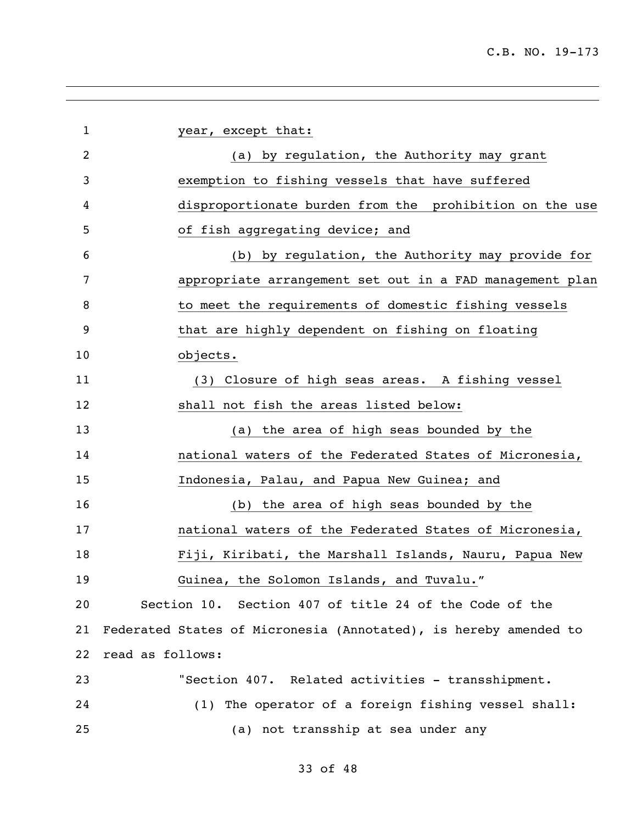year, except that: (a) by regulation, the Authority may grant exemption to fishing vessels that have suffered disproportionate burden from the prohibition on the use of fish aggregating device; and (b) by regulation, the Authority may provide for appropriate arrangement set out in a FAD management plan 8 to meet the requirements of domestic fishing vessels that are highly dependent on fishing on floating objects. (3) Closure of high seas areas. A fishing vessel shall not fish the areas listed below: (a) the area of high seas bounded by the national waters of the Federated States of Micronesia, Indonesia, Palau, and Papua New Guinea; and (b) the area of high seas bounded by the national waters of the Federated States of Micronesia, Fiji, Kiribati, the Marshall Islands, Nauru, Papua New Guinea, the Solomon Islands, and Tuvalu." Section 10. Section 407 of title 24 of the Code of the Federated States of Micronesia (Annotated), is hereby amended to read as follows: "Section 407. Related activities - transshipment. (1) The operator of a foreign fishing vessel shall: (a) not transship at sea under any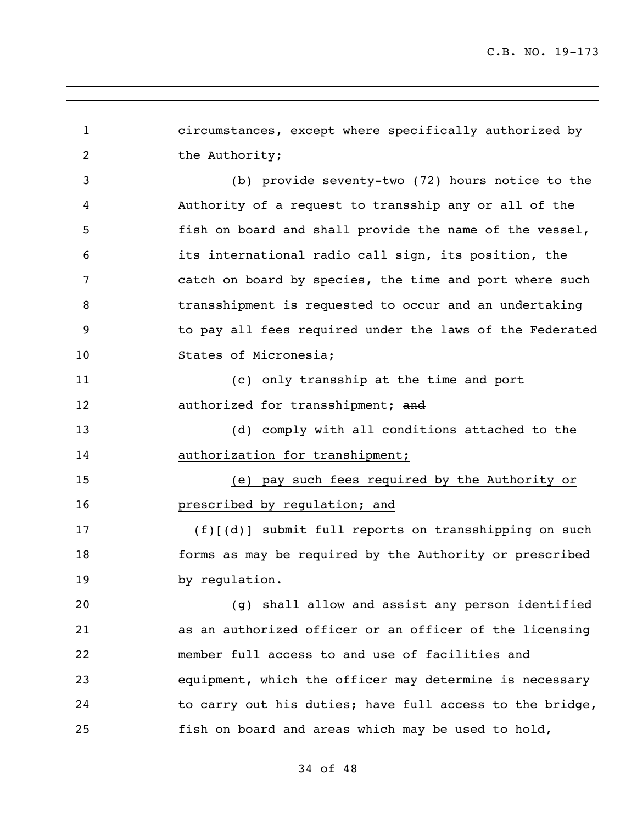circumstances, except where specifically authorized by 2 the Authority; (b) provide seventy-two (72) hours notice to the Authority of a request to transship any or all of the fish on board and shall provide the name of the vessel, its international radio call sign, its position, the catch on board by species, the time and port where such transshipment is requested to occur and an undertaking to pay all fees required under the laws of the Federated 10 States of Micronesia; (c) only transship at the time and port 12 authorized for transshipment; and (d) comply with all conditions attached to the 14 authorization for transhipment; (e) pay such fees required by the Authority or prescribed by regulation; and 17 (f)[(d)] submit full reports on transshipping on such forms as may be required by the Authority or prescribed by regulation. (g) shall allow and assist any person identified as an authorized officer or an officer of the licensing member full access to and use of facilities and equipment, which the officer may determine is necessary to carry out his duties; have full access to the bridge, fish on board and areas which may be used to hold,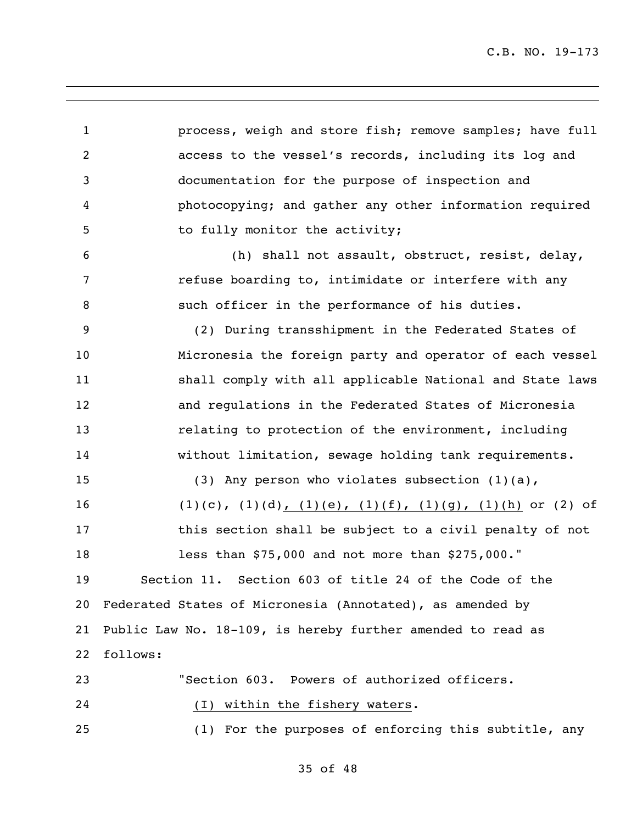process, weigh and store fish; remove samples; have full access to the vessel's records, including its log and documentation for the purpose of inspection and photocopying; and gather any other information required 5 to fully monitor the activity; (h) shall not assault, obstruct, resist, delay, **refuse boarding to, intimidate or interfere with any**  such officer in the performance of his duties. (2) During transshipment in the Federated States of Micronesia the foreign party and operator of each vessel 11 Shall comply with all applicable National and State laws and regulations in the Federated States of Micronesia **13** relating to protection of the environment, including without limitation, sewage holding tank requirements. (3) Any person who violates subsection (1)(a), 16 (1)(c), (1)(d), (1)(e), (1)(f), (1)(g), (1)(h) or (2) of **this section shall be subject to a civil penalty of not**  less than \$75,000 and not more than \$275,000." Section 11. Section 603 of title 24 of the Code of the Federated States of Micronesia (Annotated), as amended by Public Law No. 18-109, is hereby further amended to read as follows: "Section 603. Powers of authorized officers. (I) within the fishery waters. (1) For the purposes of enforcing this subtitle, any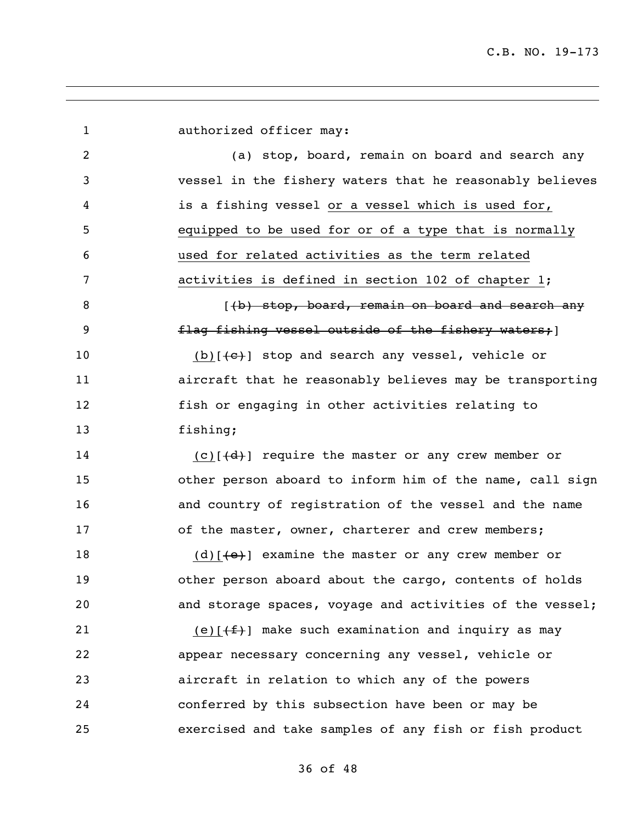| $\mathbf{1}$ | authorized officer may:                                                           |
|--------------|-----------------------------------------------------------------------------------|
| 2            | (a) stop, board, remain on board and search any                                   |
| 3            | vessel in the fishery waters that he reasonably believes                          |
| 4            | is a fishing vessel or a vessel which is used for,                                |
| 5            | equipped to be used for or of a type that is normally                             |
| 6            | used for related activities as the term related                                   |
| 7            | activities is defined in section 102 of chapter 1;                                |
| 8            | ((b) stop, board, remain on board and search any                                  |
| 9            | flag fishing vessel outside of the fishery waters;                                |
| 10           | (b) $[+e+1]$ stop and search any vessel, vehicle or                               |
| 11           | aircraft that he reasonably believes may be transporting                          |
| 12           | fish or engaging in other activities relating to                                  |
| 13           | fishing;                                                                          |
| 14           | $(c)$ [ $(d)$ ] require the master or any crew member or                          |
| 15           | other person aboard to inform him of the name, call sign                          |
| 16           | and country of registration of the vessel and the name                            |
| 17           | of the master, owner, charterer and crew members;                                 |
| 18           | $(d)$ [ $\left\lbrace e \right\rbrace$ ] examine the master or any crew member or |
| 19           | other person aboard about the cargo, contents of holds                            |
| 20           | and storage spaces, voyage and activities of the vessel;                          |
| 21           | (e) $[\frac{f}{f}]$ make such examination and inquiry as may                      |
| 22           | appear necessary concerning any vessel, vehicle or                                |
| 23           | aircraft in relation to which any of the powers                                   |
| 24           | conferred by this subsection have been or may be                                  |
| 25           | exercised and take samples of any fish or fish product                            |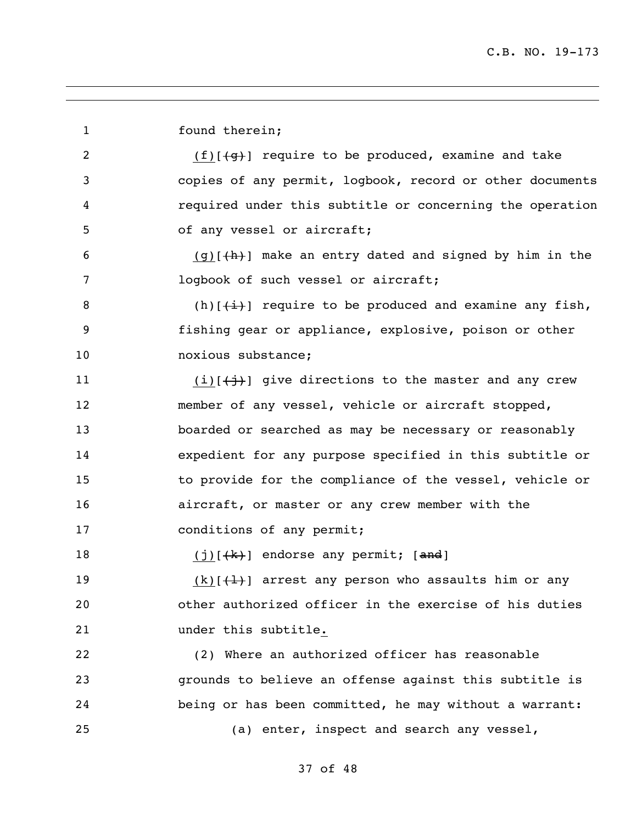| $\mathbf 1$ | found therein;                                                                  |
|-------------|---------------------------------------------------------------------------------|
| 2           | $(f)$ [ $\left\{\frac{q}{g}\right\}$ ] require to be produced, examine and take |
| 3           | copies of any permit, logbook, record or other documents                        |
| 4           | required under this subtitle or concerning the operation                        |
| 5           | of any vessel or aircraft;                                                      |
| 6           | $(g)$ [ $\frac{h}{h}$ ] make an entry dated and signed by him in the            |
| 7           | logbook of such vessel or aircraft;                                             |
| 8           | (h) $\lceil \frac{1}{1} \rceil$ require to be produced and examine any fish,    |
| 9           | fishing gear or appliance, explosive, poison or other                           |
| 10          | noxious substance;                                                              |
| 11          | $(i)$ [ $\leftarrow$ j}] give directions to the master and any crew             |
| 12          | member of any vessel, vehicle or aircraft stopped,                              |
| 13          | boarded or searched as may be necessary or reasonably                           |
| 14          | expedient for any purpose specified in this subtitle or                         |
| 15          | to provide for the compliance of the vessel, vehicle or                         |
| 16          | aircraft, or master or any crew member with the                                 |
| 17          | conditions of any permit;                                                       |
| 18          | $(j)$ [ $\frac{k}{k}$ ] endorse any permit; [and]                               |
| 19          | $(k)[+1]$ arrest any person who assaults him or any                             |
| 20          | other authorized officer in the exercise of his duties                          |
| 21          | under this subtitle.                                                            |
| 22          | (2) Where an authorized officer has reasonable                                  |
| 23          | grounds to believe an offense against this subtitle is                          |
| 24          | being or has been committed, he may without a warrant:                          |
| 25          | (a) enter, inspect and search any vessel,                                       |
|             |                                                                                 |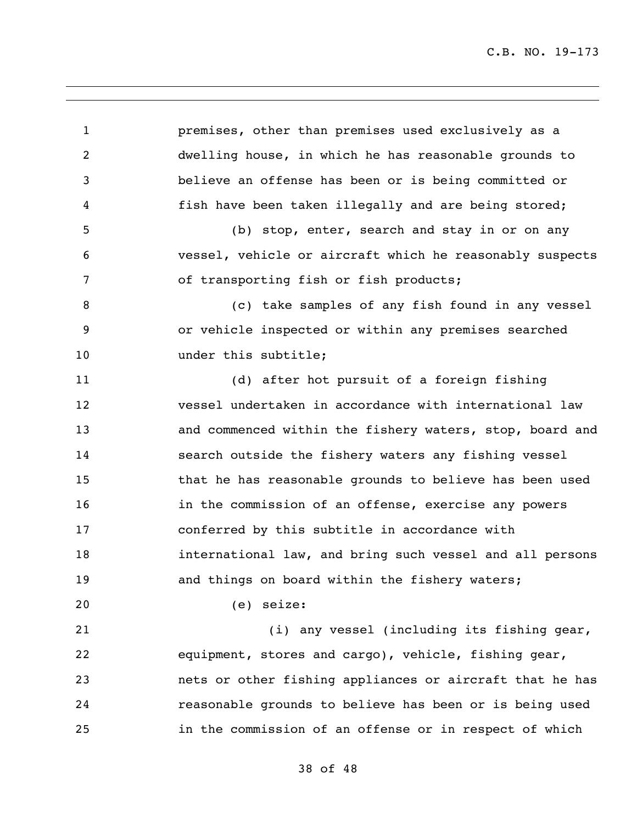premises, other than premises used exclusively as a dwelling house, in which he has reasonable grounds to believe an offense has been or is being committed or fish have been taken illegally and are being stored; (b) stop, enter, search and stay in or on any vessel, vehicle or aircraft which he reasonably suspects of transporting fish or fish products; (c) take samples of any fish found in any vessel or vehicle inspected or within any premises searched 10 under this subtitle; (d) after hot pursuit of a foreign fishing vessel undertaken in accordance with international law and commenced within the fishery waters, stop, board and search outside the fishery waters any fishing vessel that he has reasonable grounds to believe has been used 16 16 in the commission of an offense, exercise any powers conferred by this subtitle in accordance with international law, and bring such vessel and all persons and things on board within the fishery waters; (e) seize: (i) any vessel (including its fishing gear, equipment, stores and cargo), vehicle, fishing gear, nets or other fishing appliances or aircraft that he has reasonable grounds to believe has been or is being used in the commission of an offense or in respect of which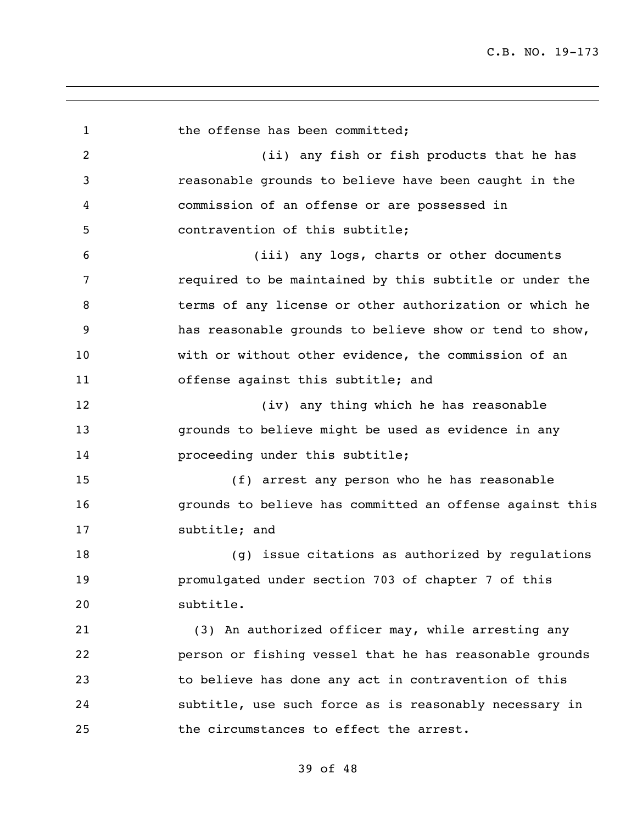| $\mathbf{1}$   | the offense has been committed;                          |
|----------------|----------------------------------------------------------|
| $\overline{2}$ | (ii) any fish or fish products that he has               |
| 3              | reasonable grounds to believe have been caught in the    |
| 4              | commission of an offense or are possessed in             |
| 5              | contravention of this subtitle;                          |
| 6              | (iii) any logs, charts or other documents                |
| 7              | required to be maintained by this subtitle or under the  |
| 8              | terms of any license or other authorization or which he  |
| 9              | has reasonable grounds to believe show or tend to show,  |
| 10             | with or without other evidence, the commission of an     |
| 11             | offense against this subtitle; and                       |
| 12             | (iv) any thing which he has reasonable                   |
| 13             | grounds to believe might be used as evidence in any      |
| 14             | proceeding under this subtitle;                          |
| 15             | (f) arrest any person who he has reasonable              |
| 16             | grounds to believe has committed an offense against this |
| 17             | subtitle; and                                            |
| 18             | (q) issue citations as authorized by regulations         |
| 19             | promulgated under section 703 of chapter 7 of this       |
| 20             | subtitle.                                                |
| 21             | (3) An authorized officer may, while arresting any       |
| 22             | person or fishing vessel that he has reasonable grounds  |
| 23             | to believe has done any act in contravention of this     |
| 24             | subtitle, use such force as is reasonably necessary in   |
| 25             | the circumstances to effect the arrest.                  |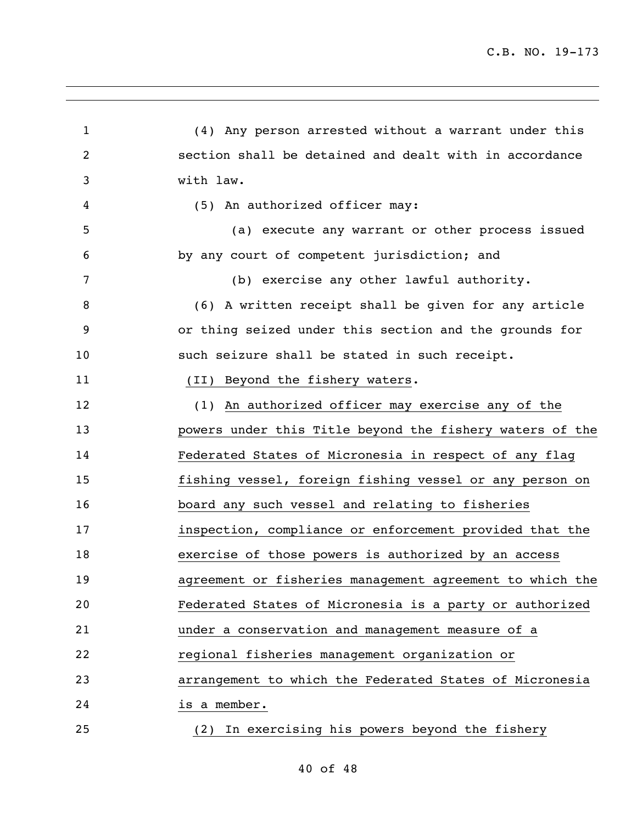(4) Any person arrested without a warrant under this section shall be detained and dealt with in accordance with law. (5) An authorized officer may: (a) execute any warrant or other process issued by any court of competent jurisdiction; and (b) exercise any other lawful authority. (6) A written receipt shall be given for any article or thing seized under this section and the grounds for 10 such seizure shall be stated in such receipt. 11 (II) Beyond the fishery waters. (1) An authorized officer may exercise any of the powers under this Title beyond the fishery waters of the Federated States of Micronesia in respect of any flag fishing vessel, foreign fishing vessel or any person on board any such vessel and relating to fisheries inspection, compliance or enforcement provided that the exercise of those powers is authorized by an access agreement or fisheries management agreement to which the Federated States of Micronesia is a party or authorized under a conservation and management measure of a regional fisheries management organization or arrangement to which the Federated States of Micronesia is a member. (2) In exercising his powers beyond the fishery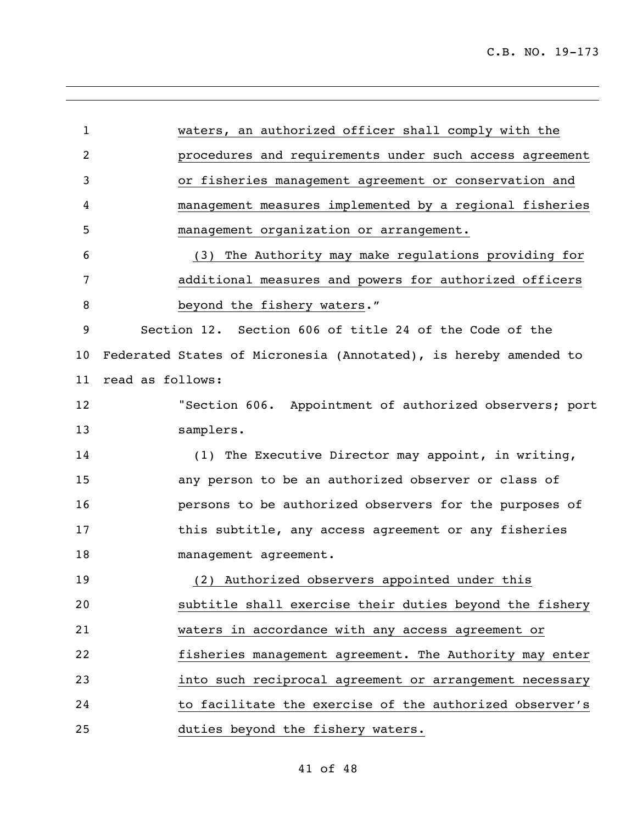| $\mathbf 1$ | waters, an authorized officer shall comply with the              |
|-------------|------------------------------------------------------------------|
| 2           | procedures and requirements under such access agreement          |
| 3           | or fisheries management agreement or conservation and            |
| 4           | management measures implemented by a regional fisheries          |
| 5           | management organization or arrangement.                          |
| 6           | The Authority may make regulations providing for<br>(3)          |
| 7           | additional measures and powers for authorized officers           |
| 8           | beyond the fishery waters."                                      |
| 9           | Section 12. Section 606 of title 24 of the Code of the           |
| 10          | Federated States of Micronesia (Annotated), is hereby amended to |
| 11          | read as follows:                                                 |
| 12          | "Section 606. Appointment of authorized observers; port          |
| 13          | samplers.                                                        |
| 14          | (1) The Executive Director may appoint, in writing,              |
| 15          | any person to be an authorized observer or class of              |
| 16          | persons to be authorized observers for the purposes of           |
| 17          | this subtitle, any access agreement or any fisheries             |
| 18          | management agreement.                                            |
| 19          | (2) Authorized observers appointed under this                    |
| 20          | subtitle shall exercise their duties beyond the fishery          |
| 21          | waters in accordance with any access agreement or                |
| 22          | fisheries management agreement. The Authority may enter          |
| 23          | into such reciprocal agreement or arrangement necessary          |
| 24          | to facilitate the exercise of the authorized observer's          |
| 25          | duties beyond the fishery waters.                                |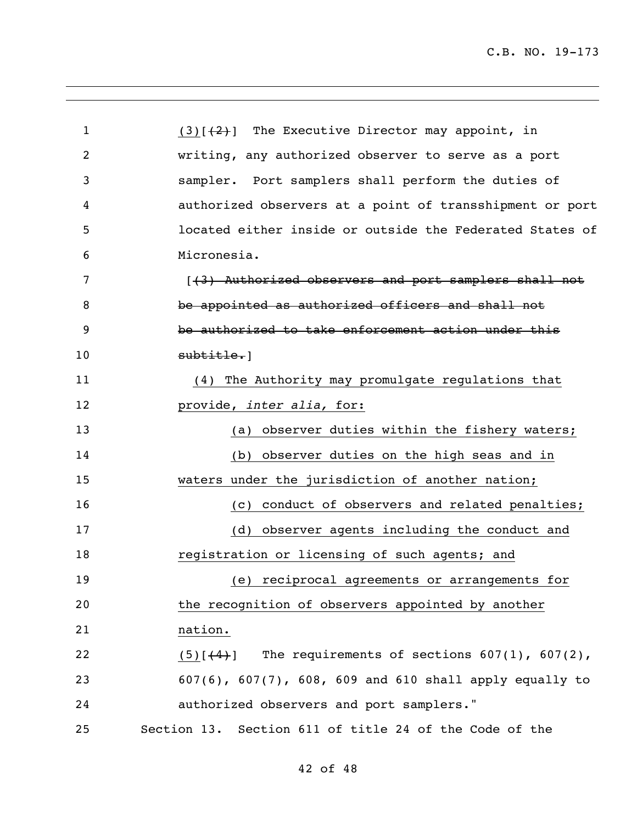1 (3) $\left[\frac{2}{2}\right]$  The Executive Director may appoint, in writing, any authorized observer to serve as a port sampler. Port samplers shall perform the duties of authorized observers at a point of transshipment or port located either inside or outside the Federated States of Micronesia. 7 [(3) Authorized observers and port samplers shall not 8 be appointed as authorized officers and shall not be authorized to take enforcement action under this 10 subtitle. (4) The Authority may promulgate regulations that provide, *inter alia,* for: 13 (a) observer duties within the fishery waters; (b) observer duties on the high seas and in waters under the jurisdiction of another nation; 16 (c) conduct of observers and related penalties; (d) observer agents including the conduct and **registration or licensing of such agents; and**  (e) reciprocal agreements or arrangements for the recognition of observers appointed by another nation. 22 (5) $[$ (4)] The requirements of sections 607(1), 607(2), 607(6), 607(7), 608, 609 and 610 shall apply equally to authorized observers and port samplers." Section 13. Section 611 of title 24 of the Code of the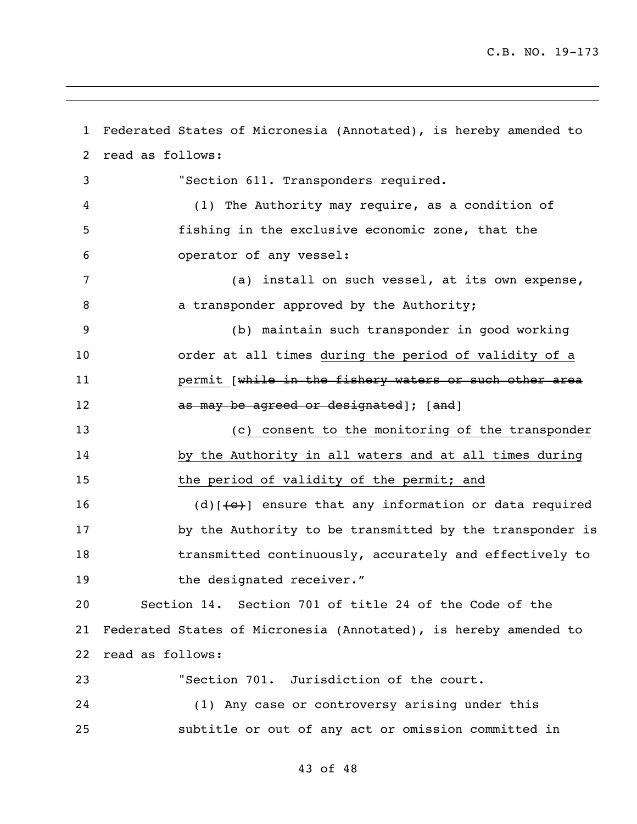Federated States of Micronesia (Annotated), is hereby amended to read as follows: "Section 611. Transponders required. (1) The Authority may require, as a condition of fishing in the exclusive economic zone, that the operator of any vessel: (a) install on such vessel, at its own expense, **a** a transponder approved by the Authority; (b) maintain such transponder in good working order at all times during the period of validity of a **permit** [while in the fishery waters or such other area **as may be agreed or designated** or  $\{$ and (c) consent to the monitoring of the transponder by the Authority in all waters and at all times during 15 the period of validity of the permit; and 16 (d) $[+e^+]$  ensure that any information or data required by the Authority to be transmitted by the transponder is transmitted continuously, accurately and effectively to 19 the designated receiver." Section 14. Section 701 of title 24 of the Code of the Federated States of Micronesia (Annotated), is hereby amended to read as follows: "Section 701. Jurisdiction of the court. (1) Any case or controversy arising under this subtitle or out of any act or omission committed in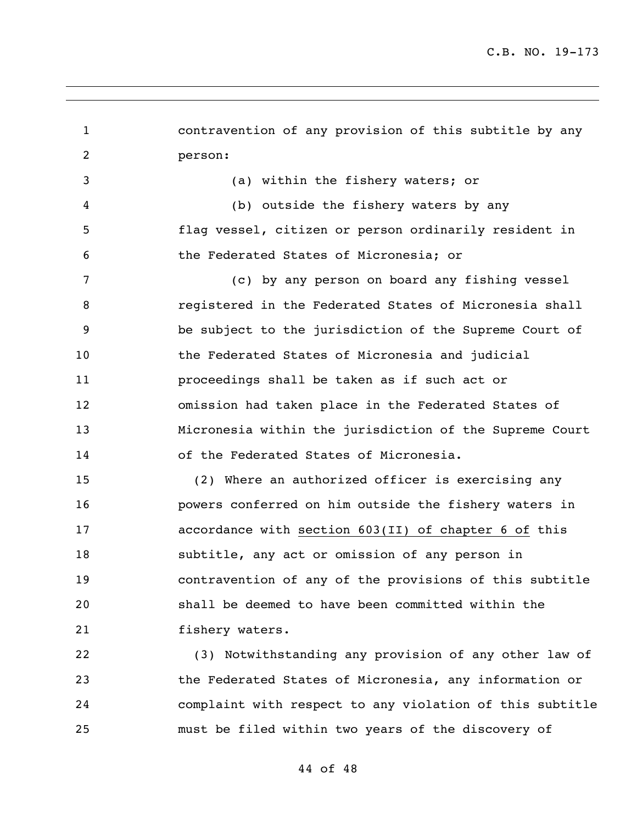contravention of any provision of this subtitle by any person: (a) within the fishery waters; or (b) outside the fishery waters by any flag vessel, citizen or person ordinarily resident in the Federated States of Micronesia; or (c) by any person on board any fishing vessel registered in the Federated States of Micronesia shall be subject to the jurisdiction of the Supreme Court of the Federated States of Micronesia and judicial proceedings shall be taken as if such act or omission had taken place in the Federated States of Micronesia within the jurisdiction of the Supreme Court of the Federated States of Micronesia. (2) Where an authorized officer is exercising any powers conferred on him outside the fishery waters in accordance with section 603(II) of chapter 6 of this subtitle, any act or omission of any person in contravention of any of the provisions of this subtitle shall be deemed to have been committed within the fishery waters. (3) Notwithstanding any provision of any other law of the Federated States of Micronesia, any information or complaint with respect to any violation of this subtitle must be filed within two years of the discovery of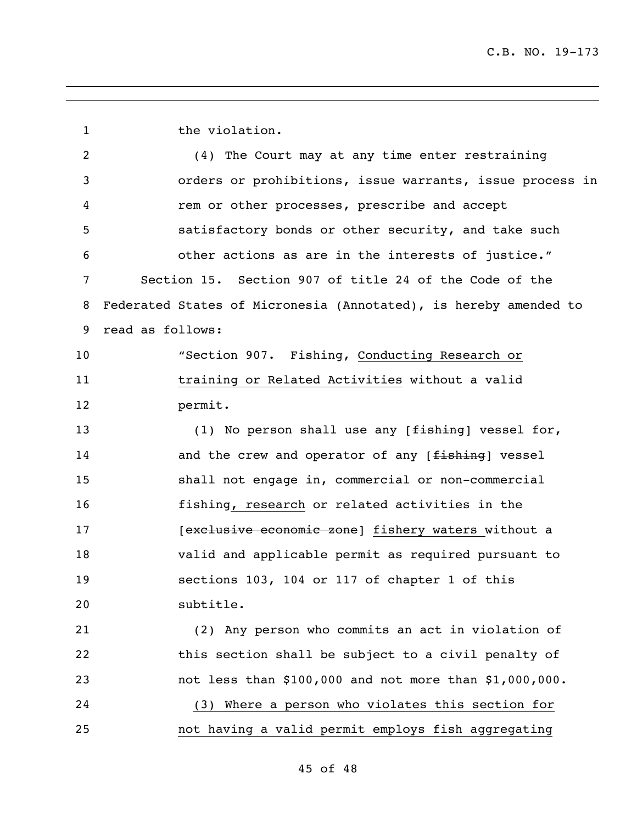1 the violation. (4) The Court may at any time enter restraining orders or prohibitions, issue warrants, issue process in rem or other processes, prescribe and accept satisfactory bonds or other security, and take such other actions as are in the interests of justice." Section 15. Section 907 of title 24 of the Code of the Federated States of Micronesia (Annotated), is hereby amended to read as follows: "Section 907. Fishing, Conducting Research or training or Related Activities without a valid permit. 13 (1) No person shall use any [<del>fishing</del>] vessel for, 14 and the crew and operator of any [fishing] vessel shall not engage in, commercial or non-commercial fishing, research or related activities in the **Exclusive economic zone** [fishery waters without a valid and applicable permit as required pursuant to sections 103, 104 or 117 of chapter 1 of this subtitle. (2) Any person who commits an act in violation of this section shall be subject to a civil penalty of not less than \$100,000 and not more than \$1,000,000. (3) Where a person who violates this section for not having a valid permit employs fish aggregating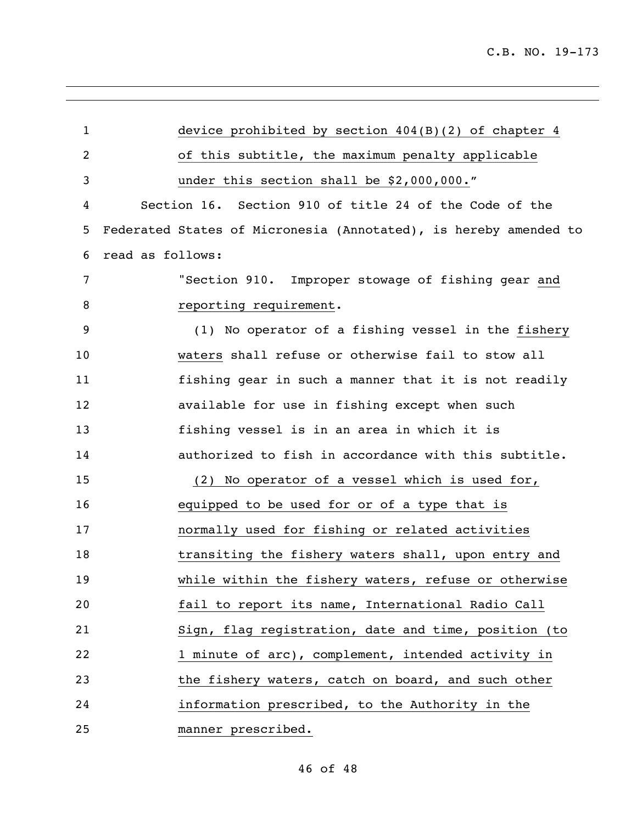| $\mathbf{1}$ | device prohibited by section 404(B)(2) of chapter 4              |
|--------------|------------------------------------------------------------------|
| 2            | of this subtitle, the maximum penalty applicable                 |
| 3            | under this section shall be \$2,000,000."                        |
| 4            | Section 16. Section 910 of title 24 of the Code of the           |
| 5            | Federated States of Micronesia (Annotated), is hereby amended to |
| 6            | read as follows:                                                 |
| 7            | "Section 910. Improper stowage of fishing gear and               |
| 8            | reporting requirement.                                           |
| 9            | (1) No operator of a fishing vessel in the fishery               |
| 10           | waters shall refuse or otherwise fail to stow all                |
| 11           | fishing gear in such a manner that it is not readily             |
| 12           | available for use in fishing except when such                    |
| 13           | fishing vessel is in an area in which it is                      |
| 14           | authorized to fish in accordance with this subtitle.             |
| 15           | (2) No operator of a vessel which is used for,                   |
| 16           | equipped to be used for or of a type that is                     |
| 17           | normally used for fishing or related activities                  |
| 18           | transiting the fishery waters shall, upon entry and              |
| 19           | while within the fishery waters, refuse or otherwise             |
| 20           | fail to report its name, International Radio Call                |
| 21           | Sign, flag registration, date and time, position (to             |
| 22           | 1 minute of arc), complement, intended activity in               |
| 23           | the fishery waters, catch on board, and such other               |
| 24           | information prescribed, to the Authority in the                  |
| 25           | manner prescribed.                                               |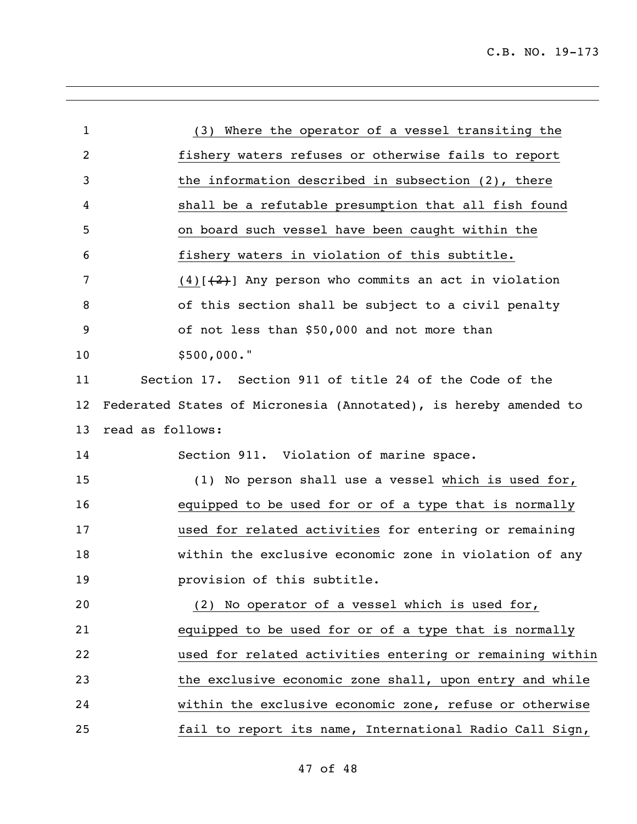| 1  | (3) Where the operator of a vessel transiting the                |
|----|------------------------------------------------------------------|
| 2  | fishery waters refuses or otherwise fails to report              |
| 3  | the information described in subsection $(2)$ , there            |
| 4  | shall be a refutable presumption that all fish found             |
| 5  | on board such vessel have been caught within the                 |
| 6  | fishery waters in violation of this subtitle.                    |
| 7  | $(4)$ [ $(2)$ ] Any person who commits an act in violation       |
| 8  | of this section shall be subject to a civil penalty              |
| 9  | of not less than \$50,000 and not more than                      |
| 10 | $$500,000.$ "                                                    |
| 11 | Section 17. Section 911 of title 24 of the Code of the           |
| 12 | Federated States of Micronesia (Annotated), is hereby amended to |
| 13 | read as follows:                                                 |
| 14 | Section 911. Violation of marine space.                          |
| 15 | (1) No person shall use a vessel which is used for,              |
| 16 | equipped to be used for or of a type that is normally            |
| 17 | used for related activities for entering or remaining            |
| 18 | within the exclusive economic zone in violation of any           |
| 19 | provision of this subtitle.                                      |
| 20 | (2) No operator of a vessel which is used for,                   |
| 21 | equipped to be used for or of a type that is normally            |
| 22 | used for related activities entering or remaining within         |
| 23 | the exclusive economic zone shall, upon entry and while          |
| 24 | within the exclusive economic zone, refuse or otherwise          |
| 25 | fail to report its name, International Radio Call Sign,          |